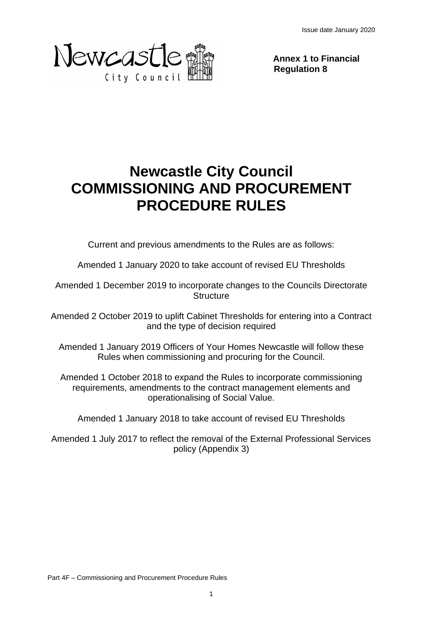Issue date January 2020



**Annex 1 to Financial Regulation 8**

# **Newcastle City Council COMMISSIONING AND PROCUREMENT PROCEDURE RULES**

Current and previous amendments to the Rules are as follows:

Amended 1 January 2020 to take account of revised EU Thresholds

Amended 1 December 2019 to incorporate changes to the Councils Directorate **Structure** 

Amended 2 October 2019 to uplift Cabinet Thresholds for entering into a Contract and the type of decision required

Amended 1 January 2019 Officers of Your Homes Newcastle will follow these Rules when commissioning and procuring for the Council.

Amended 1 October 2018 to expand the Rules to incorporate commissioning requirements, amendments to the contract management elements and operationalising of Social Value.

Amended 1 January 2018 to take account of revised EU Thresholds

Amended 1 July 2017 to reflect the removal of the External Professional Services policy (Appendix 3)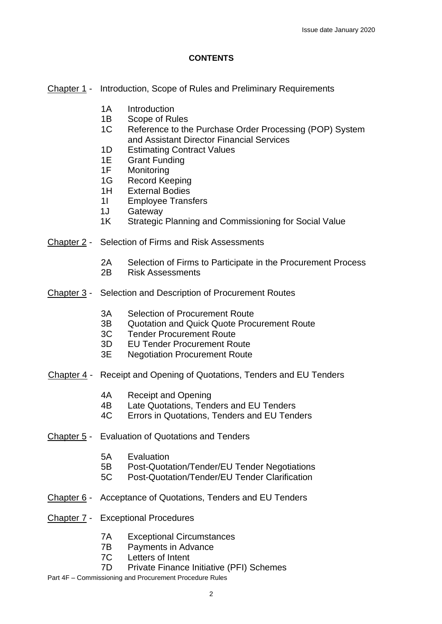#### **CONTENTS**

Chapter 1 - Introduction, Scope of Rules and Preliminary Requirements

- 1A Introduction
- 1B Scope of Rules
- 1C Reference to the Purchase Order Processing (POP) System and Assistant Director Financial Services
- 1D Estimating Contract Values
- 1E Grant Funding<br>1F Monitoring
- Monitoring
- 1G Record Keeping<br>1H External Bodies
- **External Bodies**
- 1I Employee Transfers
- 1J Gateway
- 1K Strategic Planning and Commissioning for Social Value
- Chapter 2 Selection of Firms and Risk Assessments
	- 2A Selection of Firms to Participate in the Procurement Process
	- 2B Risk Assessments
- Chapter 3 Selection and Description of Procurement Routes
	- 3A Selection of Procurement Route
	- 3B Quotation and Quick Quote Procurement Route
	- 3C Tender Procurement Route
	- 3D EU Tender Procurement Route
	- 3E Negotiation Procurement Route
- Chapter 4 Receipt and Opening of Quotations, Tenders and EU Tenders
	- 4A Receipt and Opening
	- 4B Late Quotations, Tenders and EU Tenders
	- 4C Errors in Quotations, Tenders and EU Tenders
- Chapter 5 Evaluation of Quotations and Tenders
	- 5A Evaluation
	- 5B Post-Quotation/Tender/EU Tender Negotiations
	- 5C Post-Quotation/Tender/EU Tender Clarification
- Chapter 6 Acceptance of Quotations, Tenders and EU Tenders
- Chapter 7 Exceptional Procedures
	- 7A Exceptional Circumstances
	- 7B Payments in Advance
	- 7C Letters of Intent
	- 7D Private Finance Initiative (PFI) Schemes
- Part 4F Commissioning and Procurement Procedure Rules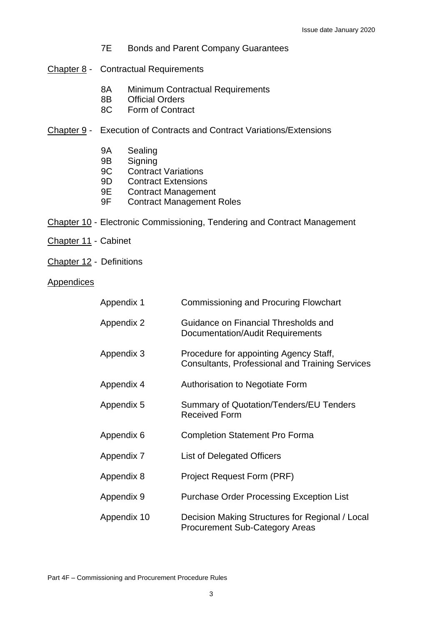- 7E Bonds and Parent Company Guarantees
- Chapter 8 Contractual Requirements
	- 8A Minimum Contractual Requirements
	- 8B Official Orders
	- 8C Form of Contract
- Chapter 9 Execution of Contracts and Contract Variations/Extensions
	- 9A Sealing
	- 9B Signing
	- 9C Contract Variations
	- 9D Contract Extensions
	- 9E Contract Management
	- 9F Contract Management Roles
- Chapter 10 Electronic Commissioning, Tendering and Contract Management
- Chapter 11 Cabinet
- Chapter 12 Definitions
- Appendices
- Appendix 1 Commissioning and Procuring Flowchart Appendix 2 Guidance on Financial Thresholds and Documentation/Audit Requirements Appendix 3 Procedure for appointing Agency Staff, Consultants, Professional and Training Services Appendix 4 Authorisation to Negotiate Form Appendix 5 Summary of Quotation/Tenders/EU Tenders Received Form Appendix 6 Completion Statement Pro Forma Appendix 7 List of Delegated Officers Appendix 8 **Project Request Form (PRF)** Appendix 9 Purchase Order Processing Exception List Appendix 10 Decision Making Structures for Regional / Local Procurement Sub-Category Areas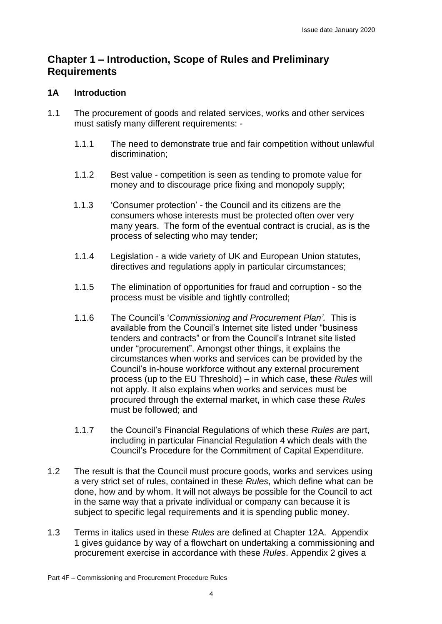### **Chapter 1 – Introduction, Scope of Rules and Preliminary Requirements**

#### **1A Introduction**

- 1.1 The procurement of goods and related services, works and other services must satisfy many different requirements: -
	- 1.1.1 The need to demonstrate true and fair competition without unlawful discrimination;
	- 1.1.2 Best value competition is seen as tending to promote value for money and to discourage price fixing and monopoly supply;
	- 1.1.3 'Consumer protection' the Council and its citizens are the consumers whose interests must be protected often over very many years. The form of the eventual contract is crucial, as is the process of selecting who may tender;
	- 1.1.4 Legislation a wide variety of UK and European Union statutes, directives and regulations apply in particular circumstances;
	- 1.1.5 The elimination of opportunities for fraud and corruption so the process must be visible and tightly controlled;
	- 1.1.6 The Council's '*Commissioning and Procurement Plan'.* This is available from the Council's Internet site listed under "business tenders and contracts" or from the Council's Intranet site listed under "procurement". Amongst other things, it explains the circumstances when works and services can be provided by the Council's in-house workforce without any external procurement process (up to the EU Threshold) – in which case, these *Rules* will not apply. It also explains when works and services must be procured through the external market, in which case these *Rules* must be followed; and
	- 1.1.7 the Council's Financial Regulations of which these *Rules are* part, including in particular Financial Regulation 4 which deals with the Council's Procedure for the Commitment of Capital Expenditure.
- 1.2 The result is that the Council must procure goods, works and services using a very strict set of rules, contained in these *Rules*, which define what can be done, how and by whom. It will not always be possible for the Council to act in the same way that a private individual or company can because it is subject to specific legal requirements and it is spending public money.
- 1.3 Terms in italics used in these *Rules* are defined at Chapter 12A. Appendix 1 gives guidance by way of a flowchart on undertaking a commissioning and procurement exercise in accordance with these *Rules*. Appendix 2 gives a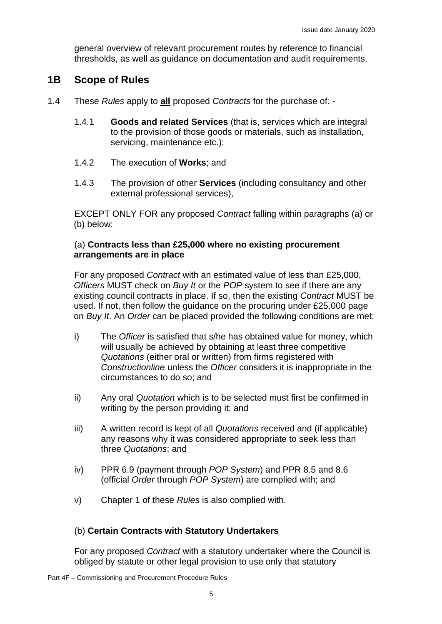general overview of relevant procurement routes by reference to financial thresholds, as well as guidance on documentation and audit requirements.

### **1B Scope of Rules**

- 1.4 These *Rules* apply to **all** proposed *Contracts* for the purchase of:
	- 1.4.1 **Goods and related Services** (that is, services which are integral to the provision of those goods or materials, such as installation, servicing, maintenance etc.);
	- 1.4.2 The execution of **Works**; and
	- 1.4.3 The provision of other **Services** (including consultancy and other external professional services),

EXCEPT ONLY FOR any proposed *Contract* falling within paragraphs (a) or (b) below:

#### (a) **Contracts less than £25,000 where no existing procurement arrangements are in place**

For any proposed *Contract* with an estimated value of less than £25,000, *Officers* MUST check on *Buy It* or the *POP* system to see if there are any existing council contracts in place. If so, then the existing *Contract* MUST be used. If not, then follow the guidance on the procuring under £25,000 page on *Buy It*. An *Order* can be placed provided the following conditions are met:

- i) The *Officer* is satisfied that s/he has obtained value for money, which will usually be achieved by obtaining at least three competitive *Quotations* (either oral or written) from firms registered with *Constructionline* unless the *Officer* considers it is inappropriate in the circumstances to do so; and
- ii) Any oral *Quotation* which is to be selected must first be confirmed in writing by the person providing it; and
- iii) A written record is kept of all *Quotations* received and (if applicable) any reasons why it was considered appropriate to seek less than three *Quotations*; and
- iv) PPR 6.9 (payment through *POP System*) and PPR 8.5 and 8.6 (official *Order* through *POP System*) are complied with; and
- v) Chapter 1 of these *Rules* is also complied with.

#### (b) **Certain Contracts with Statutory Undertakers**

For any proposed *Contract* with a statutory undertaker where the Council is obliged by statute or other legal provision to use only that statutory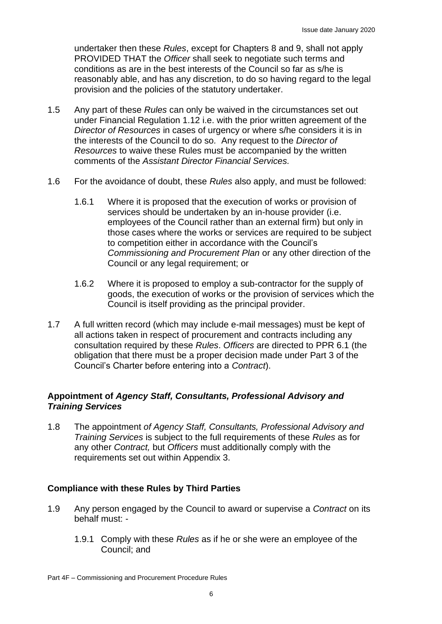undertaker then these *Rules*, except for Chapters 8 and 9, shall not apply PROVIDED THAT the *Officer* shall seek to negotiate such terms and conditions as are in the best interests of the Council so far as s/he is reasonably able, and has any discretion, to do so having regard to the legal provision and the policies of the statutory undertaker.

- 1.5 Any part of these *Rules* can only be waived in the circumstances set out under Financial Regulation 1.12 i.e. with the prior written agreement of the *Director of Resources* in cases of urgency or where s/he considers it is in the interests of the Council to do so*.* Any request to the *Director of Resources* to waive these Rules must be accompanied by the written comments of the *Assistant Director Financial Services.*
- 1.6 For the avoidance of doubt, these *Rules* also apply, and must be followed:
	- 1.6.1 Where it is proposed that the execution of works or provision of services should be undertaken by an in-house provider (i.e. employees of the Council rather than an external firm) but only in those cases where the works or services are required to be subject to competition either in accordance with the Council's *Commissioning and Procurement Plan* or any other direction of the Council or any legal requirement; or
	- 1.6.2 Where it is proposed to employ a sub-contractor for the supply of goods, the execution of works or the provision of services which the Council is itself providing as the principal provider.
- 1.7 A full written record (which may include e-mail messages) must be kept of all actions taken in respect of procurement and contracts including any consultation required by these *Rules*. *Officers* are directed to PPR 6.1 (the obligation that there must be a proper decision made under Part 3 of the Council's Charter before entering into a *Contract*).

#### **Appointment of** *Agency Staff, Consultants, Professional Advisory and Training Services*

1.8 The appointment *of Agency Staff, Consultants, Professional Advisory and Training Services* is subject to the full requirements of these *Rules* as for any other *Contract,* but *Officers* must additionally comply with the requirements set out within Appendix 3.

#### **Compliance with these Rules by Third Parties**

- 1.9 Any person engaged by the Council to award or supervise a *Contract* on its behalf must: -
	- 1.9.1 Comply with these *Rules* as if he or she were an employee of the Council; and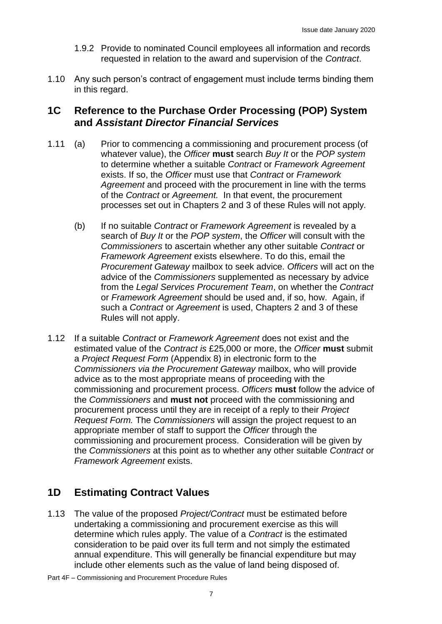- 1.9.2 Provide to nominated Council employees all information and records requested in relation to the award and supervision of the *Contract*.
- 1.10 Any such person's contract of engagement must include terms binding them in this regard.

### **1C Reference to the Purchase Order Processing (POP) System and** *Assistant Director Financial Services*

- 1.11 (a) Prior to commencing a commissioning and procurement process (of whatever value), the *Officer* **must** search *Buy It* or the *POP system* to determine whether a suitable *Contract* or *Framework Agreement*  exists. If so, the *Officer* must use that *Contract* or *Framework Agreement* and proceed with the procurement in line with the terms of the *Contract* or *Agreement.* In that event, the procurement processes set out in Chapters 2 and 3 of these Rules will not apply*.*
	- (b) If no suitable *Contract* or *Framework Agreement* is revealed by a search of *Buy It* or the *POP system*, the *Officer* will consult with the *Commissioners* to ascertain whether any other suitable *Contract* or *Framework Agreement* exists elsewhere. To do this, email the *Procurement Gateway* mailbox to seek advice. *Officers* will act on the advice of the *Commissioners* supplemented as necessary by advice from the *Legal Services Procurement Team*, on whether the *Contract* or *Framework Agreement* should be used and, if so, how. Again, if such a *Contract* or *Agreement* is used, Chapters 2 and 3 of these Rules will not apply.
- 1.12 If a suitable *Contract* or *Framework Agreement* does not exist and the estimated value of the *Contract is* £25,000 or more, the *Officer* **must** submit a *Project Request Form* (Appendix 8) in electronic form to the *Commissioners via the Procurement Gateway* mailbox, who will provide advice as to the most appropriate means of proceeding with the commissioning and procurement process. *Officers* **must** follow the advice of the *Commissioners* and **must not** proceed with the commissioning and procurement process until they are in receipt of a reply to their *Project Request Form.* The *Commissioners* will assign the project request to an appropriate member of staff to support the *Officer* through the commissioning and procurement process. Consideration will be given by the *Commissioners* at this point as to whether any other suitable *Contract* or *Framework Agreement* exists.

# **1D Estimating Contract Values**

1.13 The value of the proposed *Project/Contract* must be estimated before undertaking a commissioning and procurement exercise as this will determine which rules apply. The value of a *Contract* is the estimated consideration to be paid over its full term and not simply the estimated annual expenditure. This will generally be financial expenditure but may include other elements such as the value of land being disposed of.

Part 4F – Commissioning and Procurement Procedure Rules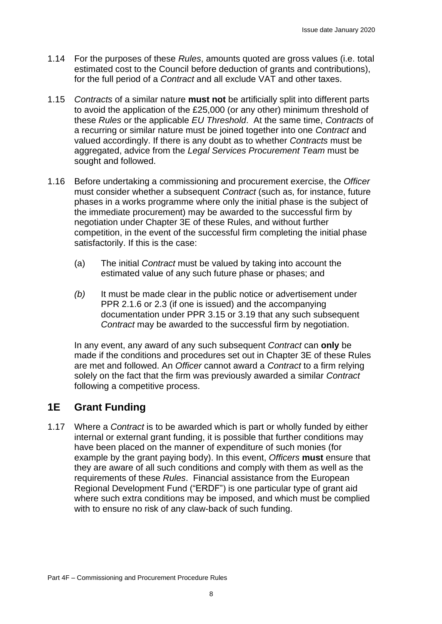- 1.14 For the purposes of these *Rules*, amounts quoted are gross values (i.e. total estimated cost to the Council before deduction of grants and contributions), for the full period of a *Contract* and all exclude VAT and other taxes.
- 1.15 *Contracts* of a similar nature **must not** be artificially split into different parts to avoid the application of the £25,000 (or any other) minimum threshold of these *Rules* or the applicable *EU Threshold*. At the same time, *Contracts* of a recurring or similar nature must be joined together into one *Contract* and valued accordingly. If there is any doubt as to whether *Contracts* must be aggregated, advice from the *Legal Services Procurement Team* must be sought and followed.
- 1.16 Before undertaking a commissioning and procurement exercise, the *Officer* must consider whether a subsequent *Contract* (such as, for instance, future phases in a works programme where only the initial phase is the subject of the immediate procurement) may be awarded to the successful firm by negotiation under Chapter 3E of these Rules, and without further competition, in the event of the successful firm completing the initial phase satisfactorily. If this is the case:
	- (a) The initial *Contract* must be valued by taking into account the estimated value of any such future phase or phases; and
	- *(b)* It must be made clear in the public notice or advertisement under PPR 2.1.6 or 2.3 (if one is issued) and the accompanying documentation under PPR 3.15 or 3.19 that any such subsequent *Contract* may be awarded to the successful firm by negotiation.

In any event, any award of any such subsequent *Contract* can **only** be made if the conditions and procedures set out in Chapter 3E of these Rules are met and followed. An *Officer* cannot award a *Contract* to a firm relying solely on the fact that the firm was previously awarded a similar *Contract* following a competitive process.

# **1E Grant Funding**

1.17 Where a *Contract* is to be awarded which is part or wholly funded by either internal or external grant funding, it is possible that further conditions may have been placed on the manner of expenditure of such monies (for example by the grant paying body). In this event, *Officers* **must** ensure that they are aware of all such conditions and comply with them as well as the requirements of these *Rules*. Financial assistance from the European Regional Development Fund ("ERDF") is one particular type of grant aid where such extra conditions may be imposed, and which must be complied with to ensure no risk of any claw-back of such funding.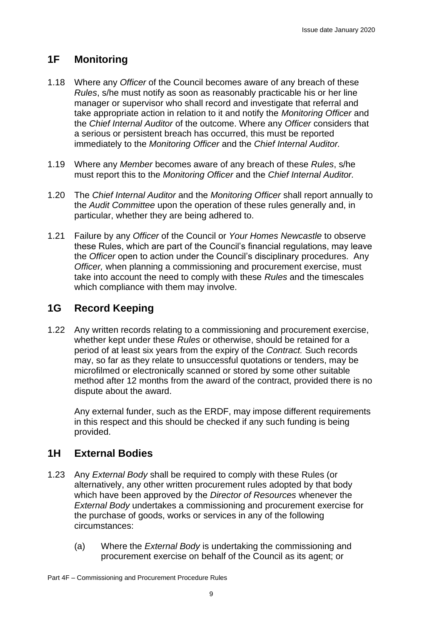# **1F Monitoring**

- 1.18 Where any *Officer* of the Council becomes aware of any breach of these *Rules*, s/he must notify as soon as reasonably practicable his or her line manager or supervisor who shall record and investigate that referral and take appropriate action in relation to it and notify the *Monitoring Officer* and the *Chief Internal Auditor* of the outcome. Where any *Officer* considers that a serious or persistent breach has occurred, this must be reported immediately to the *Monitoring Officer* and the *Chief Internal Auditor.*
- 1.19 Where any *Member* becomes aware of any breach of these *Rules*, s/he must report this to the *Monitoring Officer* and the *Chief Internal Auditor.*
- 1.20 The *Chief Internal Auditor* and the *Monitoring Officer* shall report annually to the *Audit Committee* upon the operation of these rules generally and, in particular, whether they are being adhered to.
- 1.21 Failure by any *Officer* of the Council or *Your Homes Newcastle* to observe these Rules, which are part of the Council's financial regulations, may leave the *Officer* open to action under the Council's disciplinary procedures. Any *Officer,* when planning a commissioning and procurement exercise, must take into account the need to comply with these *Rules* and the timescales which compliance with them may involve.

# **1G Record Keeping**

1.22 Any written records relating to a commissioning and procurement exercise, whether kept under these *Rules* or otherwise, should be retained for a period of at least six years from the expiry of the *Contract.* Such records may, so far as they relate to unsuccessful quotations or tenders, may be microfilmed or electronically scanned or stored by some other suitable method after 12 months from the award of the contract, provided there is no dispute about the award.

Any external funder, such as the ERDF, may impose different requirements in this respect and this should be checked if any such funding is being provided.

# **1H External Bodies**

- 1.23 Any *External Body* shall be required to comply with these Rules (or alternatively, any other written procurement rules adopted by that body which have been approved by the *Director of Resources* whenever the *External Body* undertakes a commissioning and procurement exercise for the purchase of goods, works or services in any of the following circumstances:
	- (a) Where the *External Body* is undertaking the commissioning and procurement exercise on behalf of the Council as its agent; or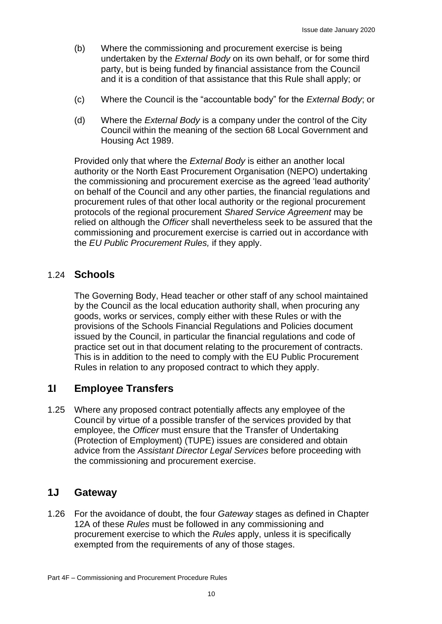- (b) Where the commissioning and procurement exercise is being undertaken by the *External Body* on its own behalf, or for some third party, but is being funded by financial assistance from the Council and it is a condition of that assistance that this Rule shall apply; or
- (c) Where the Council is the "accountable body" for the *External Body*; or
- (d) Where the *External Body* is a company under the control of the City Council within the meaning of the section 68 Local Government and Housing Act 1989.

Provided only that where the *External Body* is either an another local authority or the North East Procurement Organisation (NEPO) undertaking the commissioning and procurement exercise as the agreed 'lead authority' on behalf of the Council and any other parties, the financial regulations and procurement rules of that other local authority or the regional procurement protocols of the regional procurement *Shared Service Agreement* may be relied on although the *Officer* shall nevertheless seek to be assured that the commissioning and procurement exercise is carried out in accordance with the *EU Public Procurement Rules,* if they apply.

### 1.24 **Schools**

The Governing Body, Head teacher or other staff of any school maintained by the Council as the local education authority shall, when procuring any goods, works or services, comply either with these Rules or with the provisions of the Schools Financial Regulations and Policies document issued by the Council, in particular the financial regulations and code of practice set out in that document relating to the procurement of contracts. This is in addition to the need to comply with the EU Public Procurement Rules in relation to any proposed contract to which they apply.

# **1I Employee Transfers**

1.25 Where any proposed contract potentially affects any employee of the Council by virtue of a possible transfer of the services provided by that employee, the *Officer* must ensure that the Transfer of Undertaking (Protection of Employment) (TUPE) issues are considered and obtain advice from the *Assistant Director Legal Services* before proceeding with the commissioning and procurement exercise.

### **1J Gateway**

1.26 For the avoidance of doubt, the four *Gateway* stages as defined in Chapter 12A of these *Rules* must be followed in any commissioning and procurement exercise to which the *Rules* apply, unless it is specifically exempted from the requirements of any of those stages.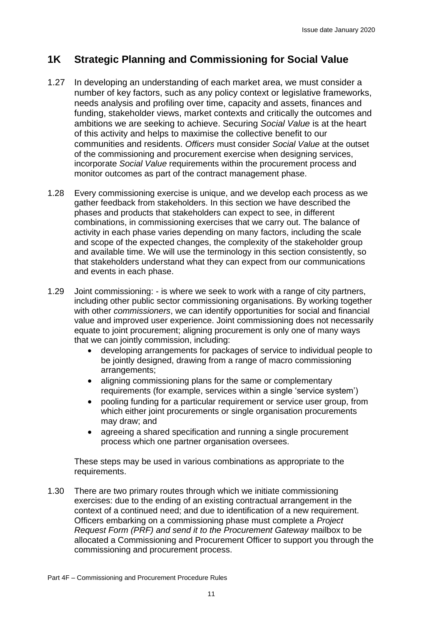# **1K Strategic Planning and Commissioning for Social Value**

- 1.27 In developing an understanding of each market area, we must consider a number of key factors, such as any policy context or legislative frameworks, needs analysis and profiling over time, capacity and assets, finances and funding, stakeholder views, market contexts and critically the outcomes and ambitions we are seeking to achieve. Securing *Social Value* is at the heart of this activity and helps to maximise the collective benefit to our communities and residents. *Officers* must consider *Social Value* at the outset of the commissioning and procurement exercise when designing services, incorporate *Social Value* requirements within the procurement process and monitor outcomes as part of the contract management phase.
- 1.28 Every commissioning exercise is unique, and we develop each process as we gather feedback from stakeholders. In this section we have described the phases and products that stakeholders can expect to see, in different combinations, in commissioning exercises that we carry out. The balance of activity in each phase varies depending on many factors, including the scale and scope of the expected changes, the complexity of the stakeholder group and available time. We will use the terminology in this section consistently, so that stakeholders understand what they can expect from our communications and events in each phase.
- 1.29 Joint commissioning: is where we seek to work with a range of city partners, including other public sector commissioning organisations. By working together with other *commissioners*, we can identify opportunities for social and financial value and improved user experience. Joint commissioning does not necessarily equate to joint procurement; aligning procurement is only one of many ways that we can jointly commission, including:
	- developing arrangements for packages of service to individual people to be jointly designed, drawing from a range of macro commissioning arrangements;
	- aligning commissioning plans for the same or complementary requirements (for example, services within a single 'service system')
	- pooling funding for a particular requirement or service user group, from which either joint procurements or single organisation procurements may draw; and
	- agreeing a shared specification and running a single procurement process which one partner organisation oversees.

These steps may be used in various combinations as appropriate to the requirements.

1.30 There are two primary routes through which we initiate commissioning exercises: due to the ending of an existing contractual arrangement in the context of a continued need; and due to identification of a new requirement. Officers embarking on a commissioning phase must complete a *Project Request Form (PRF) and send it to the Procurement Gateway* mailbox to be allocated a Commissioning and Procurement Officer to support you through the commissioning and procurement process.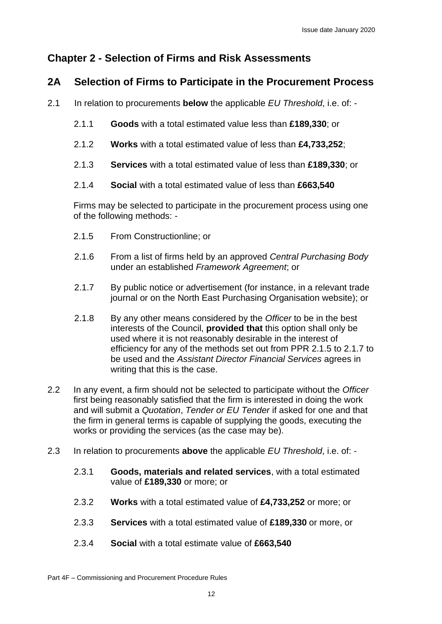# **Chapter 2 - Selection of Firms and Risk Assessments**

# **2A Selection of Firms to Participate in the Procurement Process**

- 2.1 In relation to procurements **below** the applicable *EU Threshold*, i.e. of:
	- 2.1.1 **Goods** with a total estimated value less than **£189,330**; or
	- 2.1.2 **Works** with a total estimated value of less than **£4,733,252**;
	- 2.1.3 **Services** with a total estimated value of less than **£189,330**; or
	- 2.1.4 **Social** with a total estimated value of less than **£663,540**

Firms may be selected to participate in the procurement process using one of the following methods: -

- 2.1.5 From Constructionline; or
- 2.1.6 From a list of firms held by an approved *Central Purchasing Body* under an established *Framework Agreement*; or
- 2.1.7 By public notice or advertisement (for instance, in a relevant trade journal or on the North East Purchasing Organisation website); or
- 2.1.8 By any other means considered by the *Officer* to be in the best interests of the Council, **provided that** this option shall only be used where it is not reasonably desirable in the interest of efficiency for any of the methods set out from PPR 2.1.5 to 2.1.7 to be used and the *Assistant Director Financial Services* agrees in writing that this is the case.
- 2.2 In any event, a firm should not be selected to participate without the *Officer* first being reasonably satisfied that the firm is interested in doing the work and will submit a *Quotation*, *Tender or EU Tender* if asked for one and that the firm in general terms is capable of supplying the goods, executing the works or providing the services (as the case may be).
- 2.3 In relation to procurements **above** the applicable *EU Threshold*, i.e. of:
	- 2.3.1 **Goods, materials and related services**, with a total estimated value of **£189,330** or more; or
	- 2.3.2 **Works** with a total estimated value of **£4,733,252** or more; or
	- 2.3.3 **Services** with a total estimated value of **£189,330** or more, or
	- 2.3.4 **Social** with a total estimate value of **£663,540**

Part 4F – Commissioning and Procurement Procedure Rules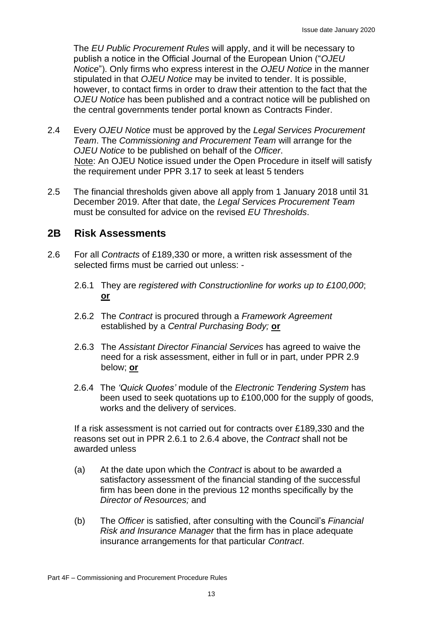The *EU Public Procurement Rules* will apply, and it will be necessary to publish a notice in the Official Journal of the European Union ("*OJEU Notice*"). Only firms who express interest in the *OJEU Notice* in the manner stipulated in that *OJEU Notice* may be invited to tender. It is possible, however, to contact firms in order to draw their attention to the fact that the *OJEU Notice* has been published and a contract notice will be published on the central governments tender portal known as Contracts Finder.

- 2.4 Every *OJEU Notice* must be approved by the *Legal Services Procurement Team*. The *Commissioning and Procurement Team* will arrange for the *OJEU Notice* to be published on behalf of the *Officer*. Note: An OJEU Notice issued under the Open Procedure in itself will satisfy the requirement under PPR 3.17 to seek at least 5 tenders
- 2.5 The financial thresholds given above all apply from 1 January 2018 until 31 December 2019. After that date, the *Legal Services Procurement Team* must be consulted for advice on the revised *EU Thresholds*.

#### **2B Risk Assessments**

- 2.6 For all *Contracts* of £189,330 or more, a written risk assessment of the selected firms must be carried out unless: -
	- 2.6.1 They are *registered with Constructionline for works up to £100,000*; **or**
	- 2.6.2 The *Contract* is procured through a *Framework Agreement* established by a *Central Purchasing Body;* **or**
	- 2.6.3 The *Assistant Director Financial Services* has agreed to waive the need for a risk assessment, either in full or in part, under PPR 2.9 below; **or**
	- 2.6.4 The *'Quick Quotes'* module of the *Electronic Tendering System* has been used to seek quotations up to £100,000 for the supply of goods, works and the delivery of services.

If a risk assessment is not carried out for contracts over £189,330 and the reasons set out in PPR 2.6.1 to 2.6.4 above, the *Contract* shall not be awarded unless

- (a) At the date upon which the *Contract* is about to be awarded a satisfactory assessment of the financial standing of the successful firm has been done in the previous 12 months specifically by the *Director of Resources;* and
- (b) The *Officer* is satisfied, after consulting with the Council's *Financial Risk and Insurance Manager* that the firm has in place adequate insurance arrangements for that particular *Contract*.

Part 4F – Commissioning and Procurement Procedure Rules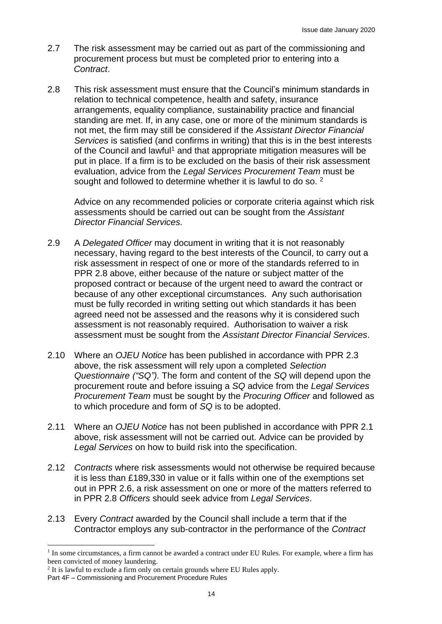- 2.7 The risk assessment may be carried out as part of the commissioning and procurement process but must be completed prior to entering into a *Contract*.
- 2.8 This risk assessment must ensure that the Council's minimum standards in relation to technical competence, health and safety, insurance arrangements, equality compliance, sustainability practice and financial standing are met. If, in any case, one or more of the minimum standards is not met, the firm may still be considered if the *Assistant Director Financial Services* is satisfied (and confirms in writing) that this is in the best interests of the Council and lawful<sup>1</sup> and that appropriate mitigation measures will be put in place. If a firm is to be excluded on the basis of their risk assessment evaluation, advice from the *Legal Services Procurement Team* must be sought and followed to determine whether it is lawful to do so. <sup>2</sup>

Advice on any recommended policies or corporate criteria against which risk assessments should be carried out can be sought from the *Assistant Director Financial Services.*

- 2.9 A *Delegated Officer* may document in writing that it is not reasonably necessary, having regard to the best interests of the Council, to carry out a risk assessment in respect of one or more of the standards referred to in PPR 2.8 above, either because of the nature or subject matter of the proposed contract or because of the urgent need to award the contract or because of any other exceptional circumstances. Any such authorisation must be fully recorded in writing setting out which standards it has been agreed need not be assessed and the reasons why it is considered such assessment is not reasonably required. Authorisation to waiver a risk assessment must be sought from the *Assistant Director Financial Services*.
- 2.10 Where an *OJEU Notice* has been published in accordance with PPR 2.3 above, the risk assessment will rely upon a completed *Selection Questionnaire ("SQ").* The form and content of the *SQ* will depend upon the procurement route and before issuing a *SQ* advice from the *Legal Services Procurement Team* must be sought by the *Procuring Officer* and followed as to which procedure and form of *SQ* is to be adopted.
- 2.11 Where an *OJEU Notice* has not been published in accordance with PPR 2.1 above, risk assessment will not be carried out. Advice can be provided by *Legal Services* on how to build risk into the specification.
- 2.12 *Contracts* where risk assessments would not otherwise be required because it is less than £189,330 in value or it falls within one of the exemptions set out in PPR 2.6, a risk assessment on one or more of the matters referred to in PPR 2.8 *Officers* should seek advice from *Legal Services*.
- 2.13 Every *Contract* awarded by the Council shall include a term that if the Contractor employs any sub-contractor in the performance of the *Contract*

<sup>&</sup>lt;sup>1</sup> In some circumstances, a firm cannot be awarded a contract under EU Rules. For example, where a firm has been convicted of money laundering.

<sup>&</sup>lt;sup>2</sup> It is lawful to exclude a firm only on certain grounds where EU Rules apply.

Part 4F – Commissioning and Procurement Procedure Rules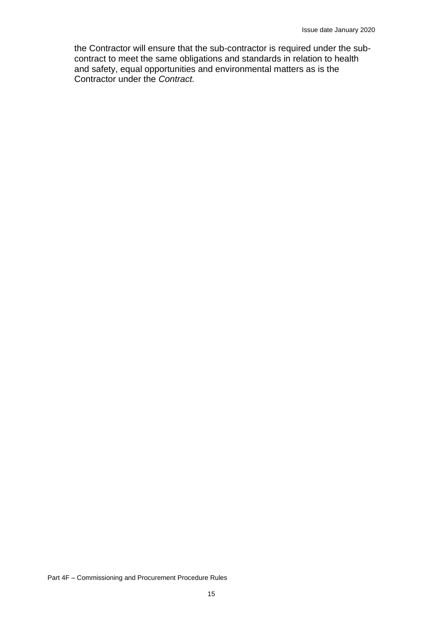the Contractor will ensure that the sub-contractor is required under the subcontract to meet the same obligations and standards in relation to health and safety, equal opportunities and environmental matters as is the Contractor under the *Contract.*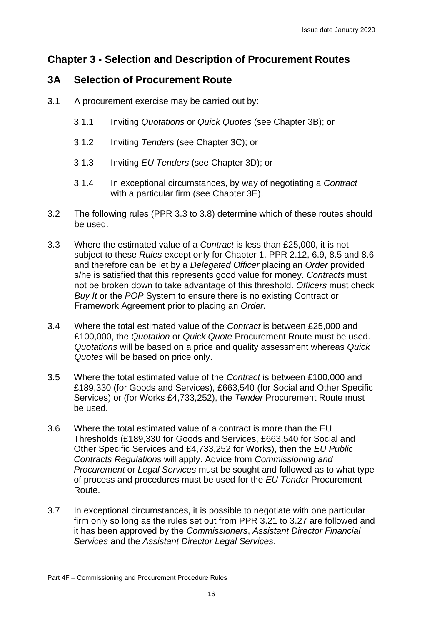# **Chapter 3 - Selection and Description of Procurement Routes**

### **3A Selection of Procurement Route**

- 3.1 A procurement exercise may be carried out by:
	- 3.1.1 Inviting *Quotations* or *Quick Quotes* (see Chapter 3B); or
	- 3.1.2 Inviting *Tenders* (see Chapter 3C); or
	- 3.1.3 Inviting *EU Tenders* (see Chapter 3D); or
	- 3.1.4 In exceptional circumstances, by way of negotiating a *Contract*  with a particular firm (see Chapter 3E),
- 3.2 The following rules (PPR 3.3 to 3.8) determine which of these routes should be used.
- 3.3 Where the estimated value of a *Contract* is less than £25,000, it is not subject to these *Rules* except only for Chapter 1, PPR 2.12, 6.9, 8.5 and 8.6 and therefore can be let by a *Delegated Officer* placing an *Order* provided s/he is satisfied that this represents good value for money. *Contracts* must not be broken down to take advantage of this threshold. *Officers* must check *Buy It* or the *POP* System to ensure there is no existing Contract or Framework Agreement prior to placing an *Order*.
- 3.4 Where the total estimated value of the *Contract* is between £25,000 and £100,000, the *Quotation* or *Quick Quote* Procurement Route must be used. *Quotations* will be based on a price and quality assessment whereas *Quick Quotes* will be based on price only.
- 3.5 Where the total estimated value of the *Contract* is between £100,000 and £189,330 (for Goods and Services), £663,540 (for Social and Other Specific Services) or (for Works £4,733,252), the *Tender* Procurement Route must be used.
- 3.6 Where the total estimated value of a contract is more than the EU Thresholds (£189,330 for Goods and Services, £663,540 for Social and Other Specific Services and £4,733,252 for Works), then the *EU Public Contracts Regulations* will apply. Advice from *Commissioning and Procurement* or *Legal Services* must be sought and followed as to what type of process and procedures must be used for the *EU Tender* Procurement Route.
- 3.7 In exceptional circumstances, it is possible to negotiate with one particular firm only so long as the rules set out from PPR 3.21 to 3.27 are followed and it has been approved by the *Commissioners*, *Assistant Director Financial Services* and the *Assistant Director Legal Services*.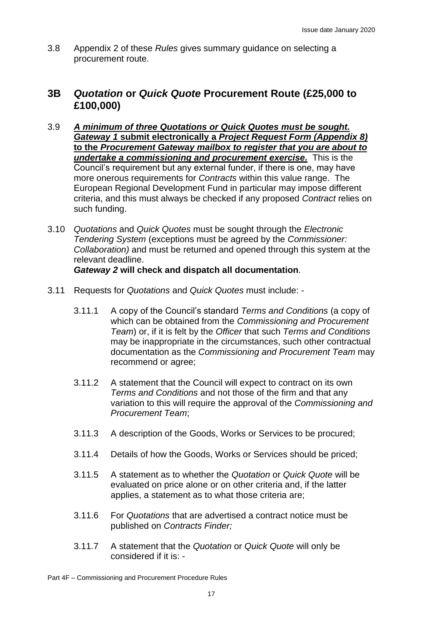3.8 Appendix 2 of these *Rules* gives summary guidance on selecting a procurement route.

### **3B** *Quotation* **or** *Quick Quote* **Procurement Route (£25,000 to £100,000)**

- 3.9 *A minimum of three Quotations or Quick Quotes must be sought. Gateway 1* **submit electronically a** *Project Request Form (Appendix 8)*  **to the** *Procurement Gateway mailbox to register that you are about to undertake a commissioning and procurement exercise.* This is the Council's requirement but any external funder, if there is one, may have more onerous requirements for *Contracts* within this value range. The European Regional Development Fund in particular may impose different criteria, and this must always be checked if any proposed *Contract* relies on such funding.
- 3.10 *Quotations* and *Quick Quotes* must be sought through the *Electronic Tendering System* (exceptions must be agreed by the *Commissioner: Collaboration)* and must be returned and opened through this system at the relevant deadline.

#### *Gateway 2* **will check and dispatch all documentation**.

- 3.11 Requests for *Quotations* and *Quick Quotes* must include:
	- 3.11.1 A copy of the Council's standard *Terms and Conditions* (a copy of which can be obtained from the *Commissioning and Procurement Team*) or, if it is felt by the *Officer* that such *Terms and Conditions* may be inappropriate in the circumstances, such other contractual documentation as the *Commissioning and Procurement Team* may recommend or agree;
	- 3.11.2 A statement that the Council will expect to contract on its own *Terms and Conditions* and not those of the firm and that any variation to this will require the approval of the *Commissioning and Procurement Team*;
	- 3.11.3 A description of the Goods, Works or Services to be procured;
	- 3.11.4 Details of how the Goods, Works or Services should be priced;
	- 3.11.5 A statement as to whether the *Quotation* or *Quick Quote* will be evaluated on price alone or on other criteria and, if the latter applies, a statement as to what those criteria are;
	- 3.11.6 For *Quotations* that are advertised a contract notice must be published on *Contracts Finder;*
	- 3.11.7 A statement that the *Quotation* or *Quick Quote* will only be considered if it is: -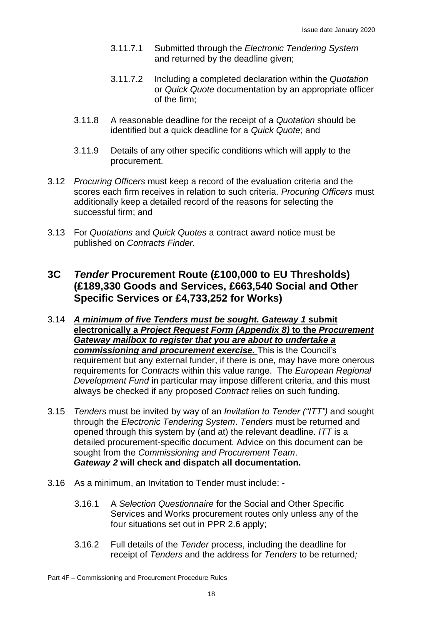- 3.11.7.1 Submitted through the *Electronic Tendering System* and returned by the deadline given;
- 3.11.7.2 Including a completed declaration within the *Quotation* or *Quick Quote* documentation by an appropriate officer of the firm;
- 3.11.8 A reasonable deadline for the receipt of a *Quotation* should be identified but a quick deadline for a *Quick Quote*; and
- 3.11.9 Details of any other specific conditions which will apply to the procurement.
- 3.12 *Procuring Officers* must keep a record of the evaluation criteria and the scores each firm receives in relation to such criteria. *Procuring Officers* must additionally keep a detailed record of the reasons for selecting the successful firm; and
- 3.13 For *Quotations* and *Quick Quotes* a contract award notice must be published on *Contracts Finder.*

### **3C** *Tender* **Procurement Route (£100,000 to EU Thresholds) (£189,330 Goods and Services, £663,540 Social and Other Specific Services or £4,733,252 for Works)**

- 3.14 *A minimum of five Tenders must be sought. Gateway 1* **submit electronically a** *Project Request Form (Appendix 8)* **to the** *Procurement Gateway mailbox to register that you are about to undertake a commissioning and procurement exercise.* This is the Council's requirement but any external funder, if there is one, may have more onerous requirements for *Contracts* within this value range. The *European Regional Development Fund* in particular may impose different criteria, and this must always be checked if any proposed *Contract* relies on such funding.
- 3.15 *Tenders* must be invited by way of an *Invitation to Tender ("ITT")* and sought through the *Electronic Tendering System*. *Tenders* must be returned and opened through this system by (and at) the relevant deadline. *ITT* is a detailed procurement-specific document. Advice on this document can be sought from the *Commissioning and Procurement Team*. *Gateway 2* **will check and dispatch all documentation.**
- 3.16 As a minimum, an Invitation to Tender must include:
	- 3.16.1 A *Selection Questionnaire* for the Social and Other Specific Services and Works procurement routes only unless any of the four situations set out in PPR 2.6 apply;
	- 3.16.2 Full details of the *Tender* process, including the deadline for receipt of *Tenders* and the address for *Tenders* to be returned*;*

Part 4F – Commissioning and Procurement Procedure Rules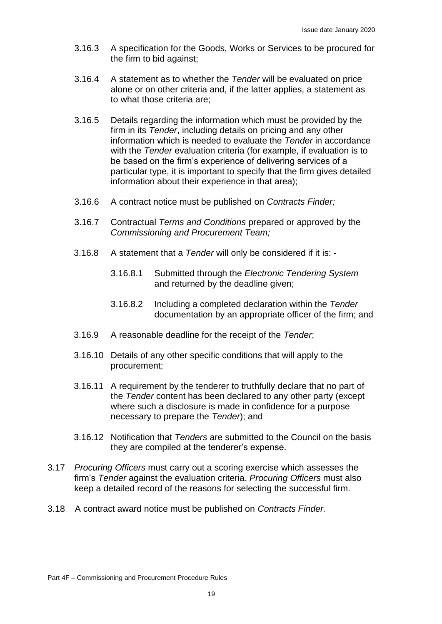- 3.16.3 A specification for the Goods, Works or Services to be procured for the firm to bid against;
- 3.16.4 A statement as to whether the *Tender* will be evaluated on price alone or on other criteria and, if the latter applies, a statement as to what those criteria are;
- 3.16.5 Details regarding the information which must be provided by the firm in its *Tender*, including details on pricing and any other information which is needed to evaluate the *Tender* in accordance with the *Tender* evaluation criteria (for example, if evaluation is to be based on the firm's experience of delivering services of a particular type, it is important to specify that the firm gives detailed information about their experience in that area);
- 3.16.6 A contract notice must be published on *Contracts Finder;*
- 3.16.7 Contractual *Terms and Conditions* prepared or approved by the *Commissioning and Procurement Team;*
- 3.16.8 A statement that a *Tender* will only be considered if it is:
	- 3.16.8.1 Submitted through the *Electronic Tendering System* and returned by the deadline given;
	- 3.16.8.2 Including a completed declaration within the *Tender* documentation by an appropriate officer of the firm; and
- 3.16.9 A reasonable deadline for the receipt of the *Tender*;
- 3.16.10 Details of any other specific conditions that will apply to the procurement;
- 3.16.11 A requirement by the tenderer to truthfully declare that no part of the *Tender* content has been declared to any other party (except where such a disclosure is made in confidence for a purpose necessary to prepare the *Tender*); and
- 3.16.12 Notification that *Tenders* are submitted to the Council on the basis they are compiled at the tenderer's expense.
- 3.17 *Procuring Officers* must carry out a scoring exercise which assesses the firm's *Tender* against the evaluation criteria. *Procuring Officers* must also keep a detailed record of the reasons for selecting the successful firm.
- 3.18 A contract award notice must be published on *Contracts Finder.*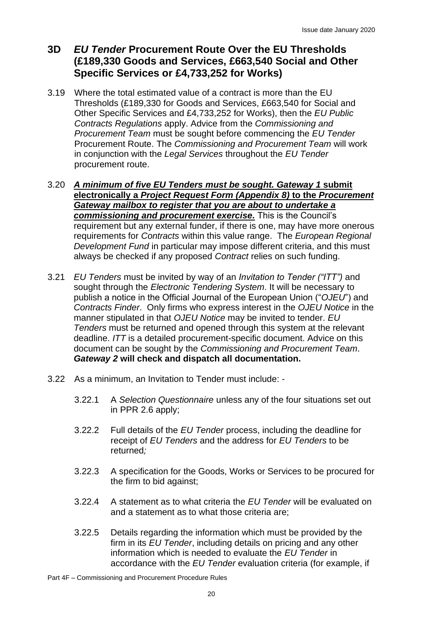# **3D** *EU Tender* **Procurement Route Over the EU Thresholds (£189,330 Goods and Services, £663,540 Social and Other Specific Services or £4,733,252 for Works)**

- 3.19 Where the total estimated value of a contract is more than the EU Thresholds (£189,330 for Goods and Services, £663,540 for Social and Other Specific Services and £4,733,252 for Works), then the *EU Public Contracts Regulations* apply. Advice from the *Commissioning and Procurement Team* must be sought before commencing the *EU Tender* Procurement Route. The *Commissioning and Procurement Team* will work in conjunction with the *Legal Services* throughout the *EU Tender* procurement route.
- 3.20 *A minimum of five EU Tenders must be sought. Gateway 1* **submit electronically a** *Project Request Form (Appendix 8)* **to the** *Procurement Gateway mailbox to register that you are about to undertake a commissioning and procurement exercise.* This is the Council's requirement but any external funder, if there is one, may have more onerous requirements for *Contracts* within this value range. The *European Regional Development Fund* in particular may impose different criteria, and this must always be checked if any proposed *Contract* relies on such funding.
- 3.21 *EU Tenders* must be invited by way of an *Invitation to Tender ("ITT")* and sought through the *Electronic Tendering System*. It will be necessary to publish a notice in the Official Journal of the European Union ("*OJEU*") and *Contracts Finder*. Only firms who express interest in the *OJEU Notice* in the manner stipulated in that *OJEU Notice* may be invited to tender. *EU Tenders* must be returned and opened through this system at the relevant deadline. *ITT* is a detailed procurement-specific document. Advice on this document can be sought by the *Commissioning and Procurement Team*. *Gateway 2* **will check and dispatch all documentation.**
- 3.22 As a minimum, an Invitation to Tender must include:
	- 3.22.1 A *Selection Questionnaire* unless any of the four situations set out in PPR 2.6 apply;
	- 3.22.2 Full details of the *EU Tender* process, including the deadline for receipt of *EU Tenders* and the address for *EU Tenders* to be returned*;*
	- 3.22.3 A specification for the Goods, Works or Services to be procured for the firm to bid against;
	- 3.22.4 A statement as to what criteria the *EU Tender* will be evaluated on and a statement as to what those criteria are;
	- 3.22.5 Details regarding the information which must be provided by the firm in its *EU Tender*, including details on pricing and any other information which is needed to evaluate the *EU Tender* in accordance with the *EU Tender* evaluation criteria (for example, if

Part 4F – Commissioning and Procurement Procedure Rules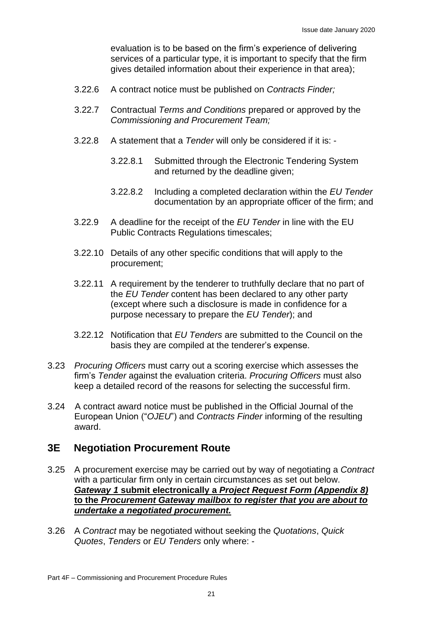evaluation is to be based on the firm's experience of delivering services of a particular type, it is important to specify that the firm gives detailed information about their experience in that area);

- 3.22.6 A contract notice must be published on *Contracts Finder;*
- 3.22.7 Contractual *Terms and Conditions* prepared or approved by the *Commissioning and Procurement Team;*
- 3.22.8 A statement that a *Tender* will only be considered if it is:
	- 3.22.8.1 Submitted through the Electronic Tendering System and returned by the deadline given;
	- 3.22.8.2 Including a completed declaration within the *EU Tender* documentation by an appropriate officer of the firm; and
- 3.22.9 A deadline for the receipt of the *EU Tender* in line with the EU Public Contracts Regulations timescales;
- 3.22.10 Details of any other specific conditions that will apply to the procurement;
- 3.22.11 A requirement by the tenderer to truthfully declare that no part of the *EU Tender* content has been declared to any other party (except where such a disclosure is made in confidence for a purpose necessary to prepare the *EU Tender*); and
- 3.22.12 Notification that *EU Tenders* are submitted to the Council on the basis they are compiled at the tenderer's expense.
- 3.23 *Procuring Officers* must carry out a scoring exercise which assesses the firm's *Tender* against the evaluation criteria. *Procuring Officers* must also keep a detailed record of the reasons for selecting the successful firm.
- 3.24 A contract award notice must be published in the Official Journal of the European Union ("*OJEU*") and *Contracts Finder* informing of the resulting award.

#### **3E Negotiation Procurement Route**

- 3.25 A procurement exercise may be carried out by way of negotiating a *Contract*  with a particular firm only in certain circumstances as set out below. *Gateway 1* **submit electronically a** *Project Request Form (Appendix 8)*  **to the** *Procurement Gateway mailbox to register that you are about to undertake a negotiated procurement.*
- 3.26 A *Contract* may be negotiated without seeking the *Quotations*, *Quick Quotes*, *Tenders* or *EU Tenders* only where: -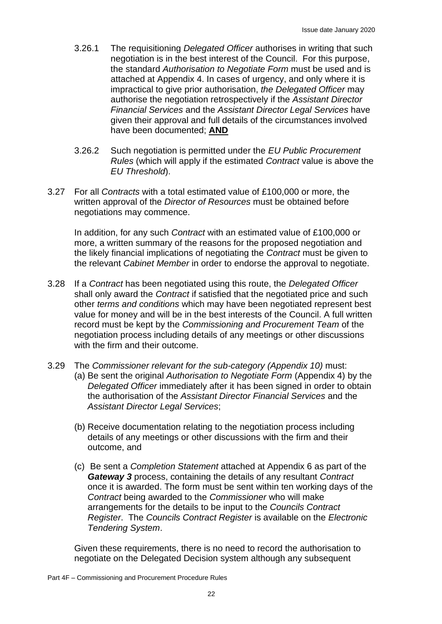- 3.26.1 The requisitioning *Delegated Officer* authorises in writing that such negotiation is in the best interest of the Council. For this purpose, the standard *Authorisation to Negotiate Form* must be used and is attached at Appendix 4. In cases of urgency, and only where it is impractical to give prior authorisation, *the Delegated Officer* may authorise the negotiation retrospectively if the *Assistant Director Financial Services* and the *Assistant Director Legal Services* have given their approval and full details of the circumstances involved have been documented; **AND**
- 3.26.2 Such negotiation is permitted under the *EU Public Procurement Rules* (which will apply if the estimated *Contract* value is above the *EU Threshold*).
- 3.27 For all *Contracts* with a total estimated value of £100,000 or more, the written approval of the *Director of Resources* must be obtained before negotiations may commence.

In addition, for any such *Contract* with an estimated value of £100,000 or more, a written summary of the reasons for the proposed negotiation and the likely financial implications of negotiating the *Contract* must be given to the relevant *Cabinet Member* in order to endorse the approval to negotiate.

- 3.28 If a *Contract* has been negotiated using this route, the *Delegated Officer* shall only award the *Contract* if satisfied that the negotiated price and such other *terms and conditions* which may have been negotiated represent best value for money and will be in the best interests of the Council. A full written record must be kept by the *Commissioning and Procurement Team* of the negotiation process including details of any meetings or other discussions with the firm and their outcome.
- 3.29 The *Commissioner relevant for the sub-category (Appendix 10)* must: (a) Be sent the original *Authorisation to Negotiate Form* (Appendix 4) by the *Delegated Officer* immediately after it has been signed in order to obtain the authorisation of the *Assistant Director Financial Services* and the *Assistant Director Legal Services*;
	- (b) Receive documentation relating to the negotiation process including details of any meetings or other discussions with the firm and their outcome, and
	- (c) Be sent a *Completion Statement* attached at Appendix 6 as part of the *Gateway 3* process, containing the details of any resultant *Contract* once it is awarded. The form must be sent within ten working days of the *Contract* being awarded to the *Commissioner* who will make arrangements for the details to be input to the *Councils Contract Register*. The *Councils Contract Register* is available on the *Electronic Tendering System*.

Given these requirements, there is no need to record the authorisation to negotiate on the Delegated Decision system although any subsequent

Part 4F – Commissioning and Procurement Procedure Rules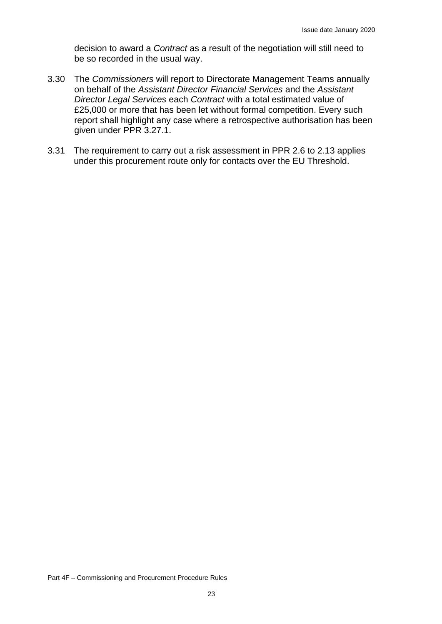decision to award a *Contract* as a result of the negotiation will still need to be so recorded in the usual way.

- 3.30 The *Commissioners* will report to Directorate Management Teams annually on behalf of the *Assistant Director Financial Services* and the *Assistant Director Legal Services* each *Contract* with a total estimated value of £25,000 or more that has been let without formal competition. Every such report shall highlight any case where a retrospective authorisation has been given under PPR 3.27.1.
- 3.31 The requirement to carry out a risk assessment in PPR 2.6 to 2.13 applies under this procurement route only for contacts over the EU Threshold.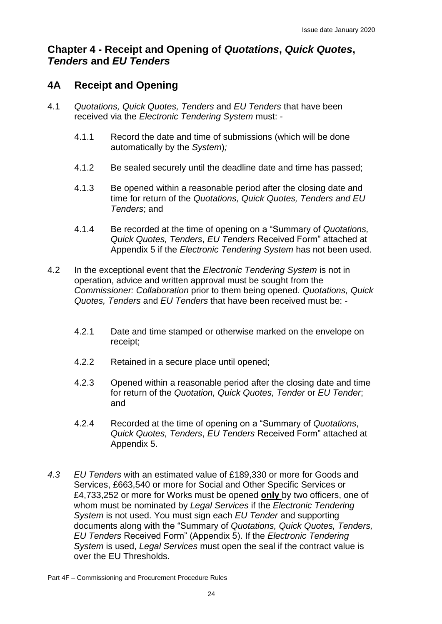# **Chapter 4 - Receipt and Opening of** *Quotations***,** *Quick Quotes***,**  *Tenders* **and** *EU Tenders*

# **4A Receipt and Opening**

- 4.1 *Quotations, Quick Quotes, Tenders* and *EU Tenders* that have been received via the *Electronic Tendering System* must: -
	- 4.1.1 Record the date and time of submissions (which will be done automatically by the *System*)*;*
	- 4.1.2 Be sealed securely until the deadline date and time has passed;
	- 4.1.3 Be opened within a reasonable period after the closing date and time for return of the *Quotations, Quick Quotes, Tenders and EU Tenders*; and
	- 4.1.4 Be recorded at the time of opening on a "Summary of *Quotations, Quick Quotes, Tenders*, *EU Tenders* Received Form" attached at Appendix 5 if the *Electronic Tendering System* has not been used.
- 4.2 In the exceptional event that the *Electronic Tendering System* is not in operation, advice and written approval must be sought from the *Commissioner: Collaboration* prior to them being opened. *Quotations, Quick Quotes, Tenders* and *EU Tenders* that have been received must be: -
	- 4.2.1 Date and time stamped or otherwise marked on the envelope on receipt;
	- 4.2.2 Retained in a secure place until opened;
	- 4.2.3 Opened within a reasonable period after the closing date and time for return of the *Quotation, Quick Quotes, Tender* or *EU Tender*; and
	- 4.2.4 Recorded at the time of opening on a "Summary of *Quotations*, *Quick Quotes, Tenders*, *EU Tenders* Received Form" attached at Appendix 5.
- *4.3 EU Tenders* with an estimated value of £189,330 or more for Goods and Services, £663,540 or more for Social and Other Specific Services or £4,733,252 or more for Works must be opened **only** by two officers, one of whom must be nominated by *Legal Services* if the *Electronic Tendering System* is not used. You must sign each *EU Tender* and supporting documents along with the "Summary of *Quotations, Quick Quotes, Tenders, EU Tenders* Received Form" (Appendix 5). If the *Electronic Tendering System* is used, *Legal Services* must open the seal if the contract value is over the EU Thresholds.

Part 4F – Commissioning and Procurement Procedure Rules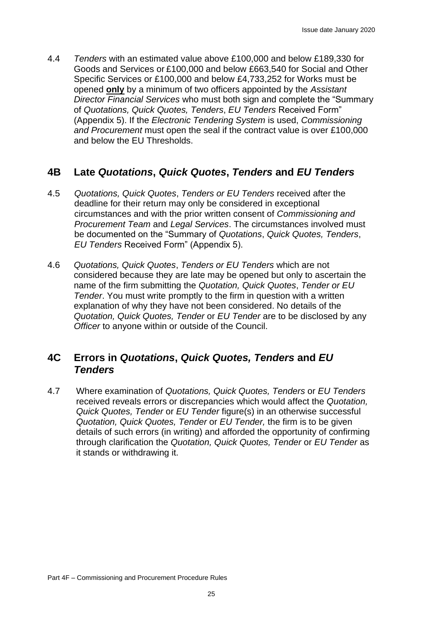4.4 *Tenders* with an estimated value above £100,000 and below £189,330 for Goods and Services or £100,000 and below £663,540 for Social and Other Specific Services or £100,000 and below £4,733,252 for Works must be opened **only** by a minimum of two officers appointed by the *Assistant Director Financial Services* who must both sign and complete the "Summary of *Quotations, Quick Quotes, Tenders*, *EU Tenders* Received Form" (Appendix 5). If the *Electronic Tendering System* is used, *Commissioning and Procurement* must open the seal if the contract value is over £100,000 and below the EU Thresholds.

# **4B Late** *Quotations***,** *Quick Quotes***,** *Tenders* **and** *EU Tenders*

- 4.5 *Quotations, Quick Quotes*, *Tenders or EU Tenders* received after the deadline for their return may only be considered in exceptional circumstances and with the prior written consent of *Commissioning and Procurement Team* and *Legal Services*. The circumstances involved must be documented on the "Summary of *Quotations*, *Quick Quotes, Tenders*, *EU Tenders* Received Form" (Appendix 5).
- 4.6 *Quotations, Quick Quotes*, *Tenders or EU Tenders* which are not considered because they are late may be opened but only to ascertain the name of the firm submitting the *Quotation, Quick Quotes*, *Tender or EU Tender*. You must write promptly to the firm in question with a written explanation of why they have not been considered. No details of the *Quotation, Quick Quotes, Tender* or *EU Tender* are to be disclosed by any *Officer* to anyone within or outside of the Council.

### **4C Errors in** *Quotations***,** *Quick Quotes, Tenders* **and** *EU Tenders*

4.7 Where examination of *Quotations, Quick Quotes, Tenders* or *EU Tenders* received reveals errors or discrepancies which would affect the *Quotation, Quick Quotes, Tender* or *EU Tender* figure(s) in an otherwise successful *Quotation, Quick Quotes, Tender* or *EU Tender,* the firm is to be given details of such errors (in writing) and afforded the opportunity of confirming through clarification the *Quotation, Quick Quotes, Tender* or *EU Tender* as it stands or withdrawing it.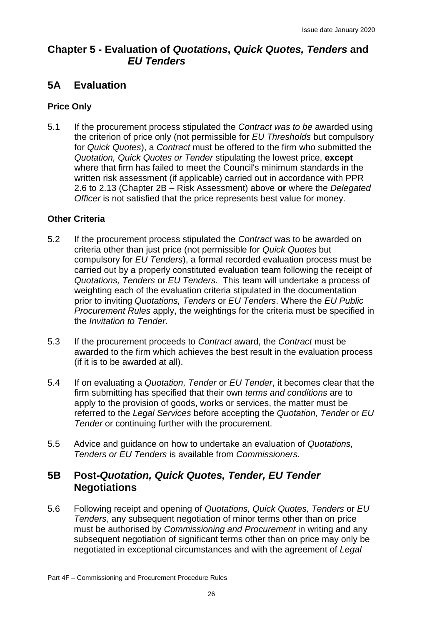# **Chapter 5 - Evaluation of** *Quotations***,** *Quick Quotes, Tenders* **and** *EU Tenders*

# **5A Evaluation**

#### **Price Only**

5.1 If the procurement process stipulated the *Contract was to be* awarded using the criterion of price only (not permissible for *EU Thresholds* but compulsory for *Quick Quotes*), a *Contract* must be offered to the firm who submitted the *Quotation, Quick Quotes or Tender* stipulating the lowest price, **except** where that firm has failed to meet the Council's minimum standards in the written risk assessment (if applicable) carried out in accordance with PPR 2.6 to 2.13 (Chapter 2B – Risk Assessment) above **or** where the *Delegated Officer* is not satisfied that the price represents best value for money.

#### **Other Criteria**

- 5.2 If the procurement process stipulated the *Contract* was to be awarded on criteria other than just price (not permissible for *Quick Quotes* but compulsory for *EU Tenders*), a formal recorded evaluation process must be carried out by a properly constituted evaluation team following the receipt of *Quotations, Tenders* or *EU Tenders*. This team will undertake a process of weighting each of the evaluation criteria stipulated in the documentation prior to inviting *Quotations, Tenders* or *EU Tenders*. Where the *EU Public Procurement Rules* apply, the weightings for the criteria must be specified in the *Invitation to Tender*.
- 5.3 If the procurement proceeds to *Contract* award, the *Contract* must be awarded to the firm which achieves the best result in the evaluation process (if it is to be awarded at all).
- 5.4 If on evaluating a *Quotation, Tender* or *EU Tender*, it becomes clear that the firm submitting has specified that their own *terms and conditions* are to apply to the provision of goods, works or services, the matter must be referred to the *Legal Services* before accepting the *Quotation, Tender* or *EU Tender* or continuing further with the procurement.
- 5.5 Advice and guidance on how to undertake an evaluation of *Quotations, Tenders or EU Tenders* is available from *Commissioners.*

# **5B Post-***Quotation, Quick Quotes, Tender, EU Tender* **Negotiations**

5.6 Following receipt and opening of *Quotations, Quick Quotes, Tenders* or *EU Tenders*, any subsequent negotiation of minor terms other than on price must be authorised by *Commissioning and Procurement* in writing and any subsequent negotiation of significant terms other than on price may only be negotiated in exceptional circumstances and with the agreement of *Legal*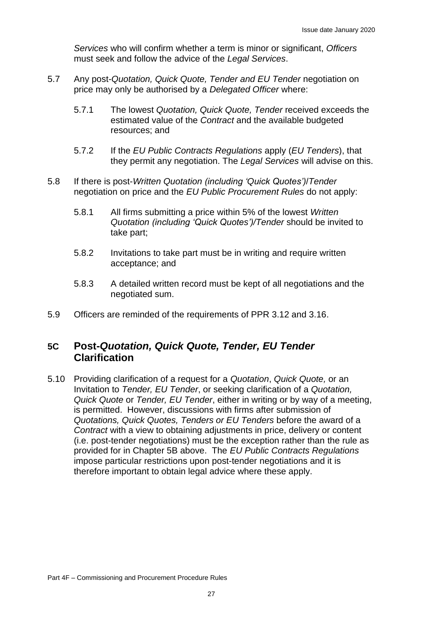*Services* who will confirm whether a term is minor or significant, *Officers*  must seek and follow the advice of the *Legal Services*.

- 5.7 Any post-*Quotation, Quick Quote, Tender and EU Tender* negotiation on price may only be authorised by a *Delegated Officer* where:
	- 5.7.1 The lowest *Quotation, Quick Quote, Tender* received exceeds the estimated value of the *Contract* and the available budgeted resources; and
	- 5.7.2 If the *EU Public Contracts Regulations* apply (*EU Tenders*), that they permit any negotiation. The *Legal Services* will advise on this.
- 5.8 If there is post-*Written Quotation (including 'Quick Quotes')*/*Tender*  negotiation on price and the *EU Public Procurement Rules* do not apply:
	- 5.8.1 All firms submitting a price within 5% of the lowest *Written Quotation (including 'Quick Quotes')/Tender* should be invited to take part;
	- 5.8.2 Invitations to take part must be in writing and require written acceptance; and
	- 5.8.3 A detailed written record must be kept of all negotiations and the negotiated sum.
- 5.9 Officers are reminded of the requirements of PPR 3.12 and 3.16.

### **5C Post-***Quotation, Quick Quote, Tender, EU Tender* **Clarification**

5.10 Providing clarification of a request for a *Quotation*, *Quick Quote,* or an Invitation to *Tender, EU Tender*, or seeking clarification of a *Quotation, Quick Quote* or *Tender, EU Tender*, either in writing or by way of a meeting, is permitted. However, discussions with firms after submission of *Quotations, Quick Quotes, Tenders or EU Tenders* before the award of a *Contract* with a view to obtaining adjustments in price, delivery or content (i.e. post-tender negotiations) must be the exception rather than the rule as provided for in Chapter 5B above. The *EU Public Contracts Regulations* impose particular restrictions upon post-tender negotiations and it is therefore important to obtain legal advice where these apply.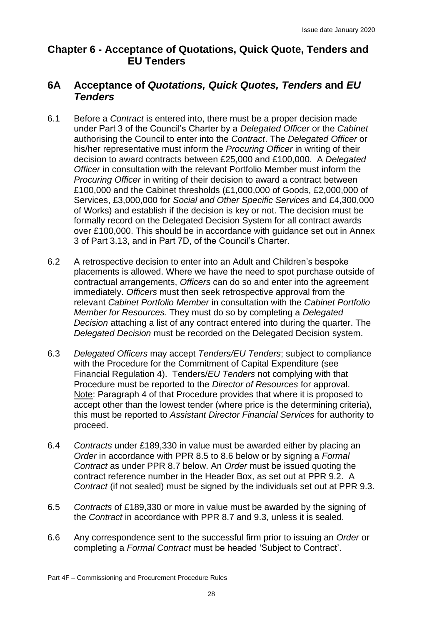# **Chapter 6 - Acceptance of Quotations, Quick Quote, Tenders and EU Tenders**

### **6A Acceptance of** *Quotations, Quick Quotes, Tenders* **and** *EU Tenders*

- 6.1 Before a *Contract* is entered into, there must be a proper decision made under Part 3 of the Council's Charter by a *Delegated Officer* or the *Cabinet* authorising the Council to enter into the *Contract*. The *Delegated Officer* or his/her representative must inform the *Procuring Officer* in writing of their decision to award contracts between £25,000 and £100,000. A *Delegated Officer* in consultation with the relevant Portfolio Member must inform the *Procuring Officer* in writing of their decision to award a contract between £100,000 and the Cabinet thresholds (£1,000,000 of Goods, £2,000,000 of Services, £3,000,000 for *Social and Other Specific Services* and £4,300,000 of Works) and establish if the decision is key or not. The decision must be formally record on the Delegated Decision System for all contract awards over £100,000. This should be in accordance with guidance set out in Annex 3 of Part 3.13, and in Part 7D, of the Council's Charter.
- 6.2 A retrospective decision to enter into an Adult and Children's bespoke placements is allowed. Where we have the need to spot purchase outside of contractual arrangements, *Officers* can do so and enter into the agreement immediately. *Officers* must then seek retrospective approval from the relevant *Cabinet Portfolio Member* in consultation with the *Cabinet Portfolio Member for Resources.* They must do so by completing a *Delegated Decision* attaching a list of any contract entered into during the quarter. The *Delegated Decision* must be recorded on the Delegated Decision system.
- 6.3 *Delegated Officers* may accept *Tenders/EU Tenders*; subject to compliance with the Procedure for the Commitment of Capital Expenditure (see Financial Regulation 4). Tenders/*EU Tenders* not complying with that Procedure must be reported to the *Director of Resources* for approval. Note: Paragraph 4 of that Procedure provides that where it is proposed to accept other than the lowest tender (where price is the determining criteria), this must be reported to *Assistant Director Financial Services* for authority to proceed.
- 6.4 *Contracts* under £189,330 in value must be awarded either by placing an *Order* in accordance with PPR 8.5 to 8.6 below or by signing a *Formal Contract* as under PPR 8.7 below. An *Order* must be issued quoting the contract reference number in the Header Box, as set out at PPR 9.2.A *Contract* (if not sealed) must be signed by the individuals set out at PPR 9.3.
- 6.5 *Contracts* of £189,330 or more in value must be awarded by the signing of the *Contract* in accordance with PPR 8.7 and 9.3, unless it is sealed.
- 6.6 Any correspondence sent to the successful firm prior to issuing an *Order* or completing a *Formal Contract* must be headed 'Subject to Contract'.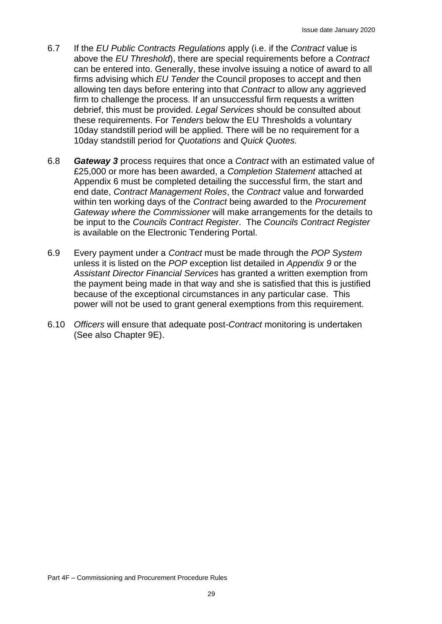- 6.7 If the *EU Public Contracts Regulations* apply (i.e. if the *Contract* value is above the *EU Threshold*), there are special requirements before a *Contract*  can be entered into. Generally, these involve issuing a notice of award to all firms advising which *EU Tender* the Council proposes to accept and then allowing ten days before entering into that *Contract* to allow any aggrieved firm to challenge the process. If an unsuccessful firm requests a written debrief, this must be provided. *Legal Services* should be consulted about these requirements. For *Tenders* below the EU Thresholds a voluntary 10day standstill period will be applied. There will be no requirement for a 10day standstill period for *Quotations* and *Quick Quotes.*
- 6.8 *Gateway 3* process requires that once a *Contract* with an estimated value of £25,000 or more has been awarded, a *Completion Statement* attached at Appendix 6 must be completed detailing the successful firm, the start and end date, *Contract Management Roles*, the *Contract* value and forwarded within ten working days of the *Contract* being awarded to the *Procurement Gateway where the Commissioner* will make arrangements for the details to be input to the *Councils Contract Register*. The *Councils Contract Register* is available on the Electronic Tendering Portal.
- 6.9 Every payment under a *Contract* must be made through the *POP System* unless it is listed on the *POP* exception list detailed in *Appendix 9* or the *Assistant Director Financial Services* has granted a written exemption from the payment being made in that way and she is satisfied that this is justified because of the exceptional circumstances in any particular case. This power will not be used to grant general exemptions from this requirement.
- 6.10 *Officers* will ensure that adequate post-*Contract* monitoring is undertaken (See also Chapter 9E).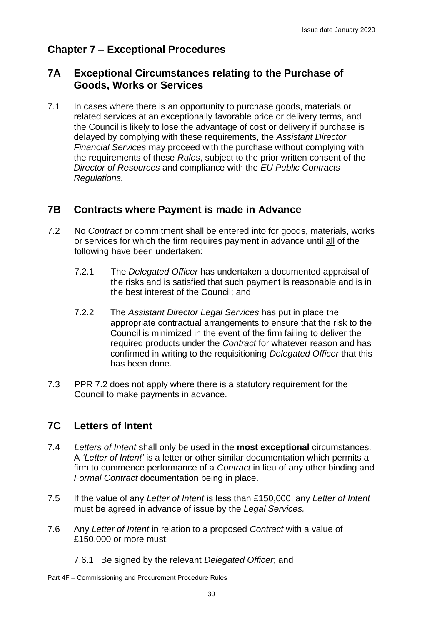# **Chapter 7 – Exceptional Procedures**

### **7A Exceptional Circumstances relating to the Purchase of Goods, Works or Services**

7.1 In cases where there is an opportunity to purchase goods, materials or related services at an exceptionally favorable price or delivery terms, and the Council is likely to lose the advantage of cost or delivery if purchase is delayed by complying with these requirements, the *Assistant Director Financial Services* may proceed with the purchase without complying with the requirements of these *Rules*, subject to the prior written consent of the *Director of Resources* and compliance with the *EU Public Contracts Regulations.*

### **7B Contracts where Payment is made in Advance**

- 7.2 No *Contract* or commitment shall be entered into for goods, materials, works or services for which the firm requires payment in advance until all of the following have been undertaken:
	- 7.2.1 The *Delegated Officer* has undertaken a documented appraisal of the risks and is satisfied that such payment is reasonable and is in the best interest of the Council; and
	- 7.2.2 The *Assistant Director Legal Services* has put in place the appropriate contractual arrangements to ensure that the risk to the Council is minimized in the event of the firm failing to deliver the required products under the *Contract* for whatever reason and has confirmed in writing to the requisitioning *Delegated Officer* that this has been done.
- 7.3 PPR 7.2 does not apply where there is a statutory requirement for the Council to make payments in advance.

# **7C Letters of Intent**

- 7.4 *Letters of Intent* shall only be used in the **most exceptional** circumstances. A *'Letter of Intent'* is a letter or other similar documentation which permits a firm to commence performance of a *Contract* in lieu of any other binding and *Formal Contract* documentation being in place.
- 7.5 If the value of any *Letter of Intent* is less than £150,000, any *Letter of Intent* must be agreed in advance of issue by the *Legal Services.*
- 7.6 Any *Letter of Intent* in relation to a proposed *Contract* with a value of £150,000 or more must:
	- 7.6.1 Be signed by the relevant *Delegated Officer*; and
- Part 4F Commissioning and Procurement Procedure Rules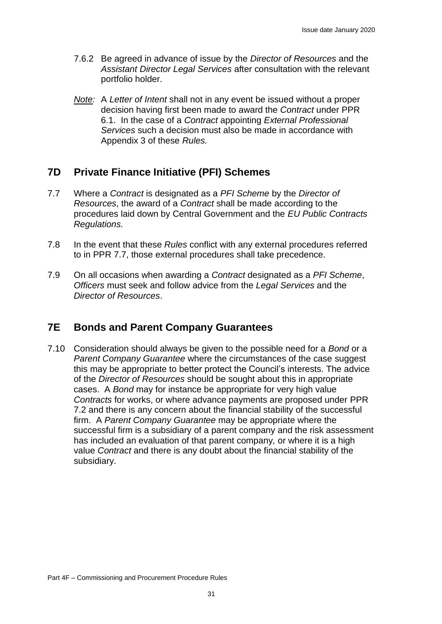- 7.6.2 Be agreed in advance of issue by the *Director of Resources* and the *Assistant Director Legal Services* after consultation with the relevant portfolio holder.
- *Note:* A *Letter of Intent* shall not in any event be issued without a proper decision having first been made to award the *Contract* under PPR 6.1. In the case of a *Contract* appointing *External Professional Services* such a decision must also be made in accordance with Appendix 3 of these *Rules.*

### **7D Private Finance Initiative (PFI) Schemes**

- 7.7 Where a *Contract* is designated as a *PFI Scheme* by the *Director of Resources*, the award of a *Contract* shall be made according to the procedures laid down by Central Government and the *EU Public Contracts Regulations.*
- 7.8 In the event that these *Rules* conflict with any external procedures referred to in PPR 7.7, those external procedures shall take precedence.
- 7.9 On all occasions when awarding a *Contract* designated as a *PFI Scheme*, *Officers* must seek and follow advice from the *Legal Services* and the *Director of Resources*.

### **7E Bonds and Parent Company Guarantees**

7.10 Consideration should always be given to the possible need for a *Bond* or a *Parent Company Guarantee* where the circumstances of the case suggest this may be appropriate to better protect the Council's interests. The advice of the *Director of Resources* should be sought about this in appropriate cases. A *Bond* may for instance be appropriate for very high value *Contracts* for works, or where advance payments are proposed under PPR 7.2 and there is any concern about the financial stability of the successful firm. A *Parent Company Guarantee* may be appropriate where the successful firm is a subsidiary of a parent company and the risk assessment has included an evaluation of that parent company*,* or where it is a high value *Contract* and there is any doubt about the financial stability of the subsidiary.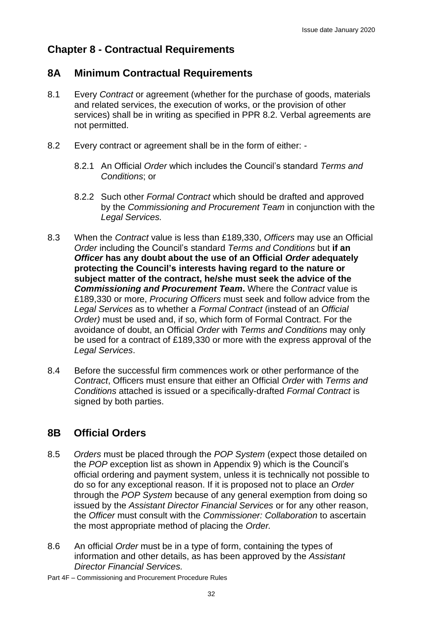# **Chapter 8 - Contractual Requirements**

### **8A Minimum Contractual Requirements**

- 8.1 Every *Contract* or agreement (whether for the purchase of goods, materials and related services, the execution of works, or the provision of other services) shall be in writing as specified in PPR 8.2*.* Verbal agreements are not permitted.
- 8.2 Every contract or agreement shall be in the form of either:
	- 8.2.1 An Official *Order* which includes the Council's standard *Terms and Conditions*; or
	- 8.2.2 Such other *Formal Contract* which should be drafted and approved by the *Commissioning and Procurement Team* in conjunction with the *Legal Services.*
- 8.3 When the *Contract* value is less than £189,330, *Officers* may use an Official *Order* including the Council's standard *Terms and Conditions* but **if an** *Officer* **has any doubt about the use of an Official** *Order* **adequately protecting the Council's interests having regard to the nature or subject matter of the contract, he/she must seek the advice of the**  *Commissioning and Procurement Team***.** Where the *Contract* value is £189,330 or more, *Procuring Officers* must seek and follow advice from the *Legal Services* as to whether a *Formal Contract* (instead of an *Official Order)* must be used and, if so, which form of Formal Contract. For the avoidance of doubt, an Official *Order* with *Terms and Conditions* may only be used for a contract of £189,330 or more with the express approval of the *Legal Services*.
- 8.4 Before the successful firm commences work or other performance of the *Contract*, Officers must ensure that either an Official *Order* with *Terms and Conditions* attached is issued or a specifically-drafted *Formal Contract* is signed by both parties.

# **8B Official Orders**

- 8.5 *Orders* must be placed through the *POP System* (expect those detailed on the *POP* exception list as shown in Appendix 9) which is the Council's official ordering and payment system, unless it is technically not possible to do so for any exceptional reason. If it is proposed not to place an *Order* through the *POP System* because of any general exemption from doing so issued by the *Assistant Director Financial Services* or for any other reason, the *Officer* must consult with the *Commissioner: Collaboration* to ascertain the most appropriate method of placing the *Order.*
- 8.6 An official *Order* must be in a type of form, containing the types of information and other details, as has been approved by the *Assistant Director Financial Services.*
- Part 4F Commissioning and Procurement Procedure Rules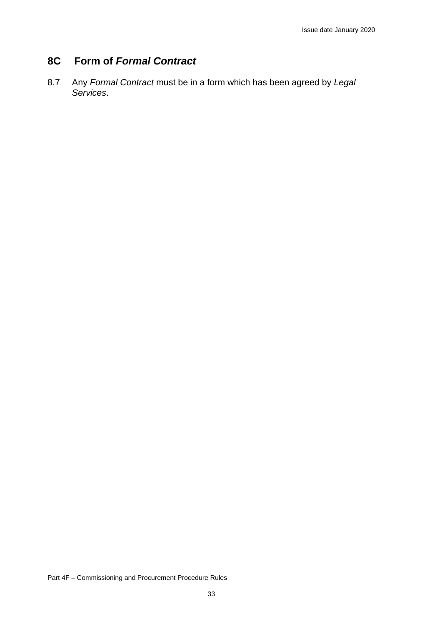# **8C Form of** *Formal Contract*

8.7 Any *Formal Contract* must be in a form which has been agreed by *Legal Services*.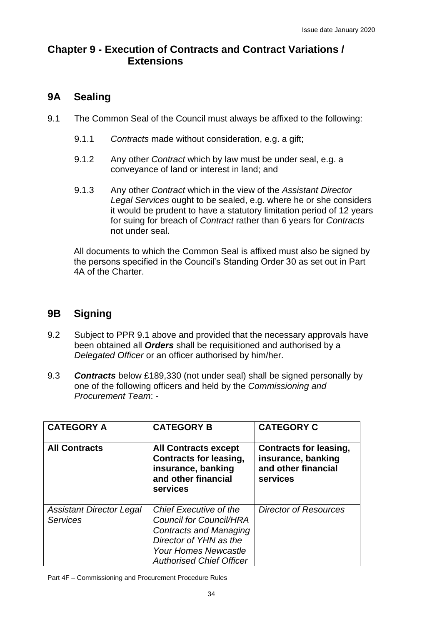# **Chapter 9 - Execution of Contracts and Contract Variations / Extensions**

# **9A Sealing**

- 9.1 The Common Seal of the Council must always be affixed to the following:
	- 9.1.1 *Contracts* made without consideration, e.g. a gift;
	- 9.1.2 Any other *Contract* which by law must be under seal, e.g. a conveyance of land or interest in land; and
	- 9.1.3 Any other *Contract* which in the view of the *Assistant Director Legal Services* ought to be sealed, e.g. where he or she considers it would be prudent to have a statutory limitation period of 12 years for suing for breach of *Contract* rather than 6 years for *Contracts*  not under seal.

All documents to which the Common Seal is affixed must also be signed by the persons specified in the Council's Standing Order 30 as set out in Part 4A of the Charter.

# **9B Signing**

- 9.2 Subject to PPR 9.1 above and provided that the necessary approvals have been obtained all *Orders* shall be requisitioned and authorised by a *Delegated Officer* or an officer authorised by him/her.
- 9.3 *Contracts* below £189,330 (not under seal) shall be signed personally by one of the following officers and held by the *Commissioning and Procurement Team*: -

| <b>CATEGORY A</b>                                  | <b>CATEGORY B</b>                                                                                                                                                                     | <b>CATEGORY C</b>                                                                      |
|----------------------------------------------------|---------------------------------------------------------------------------------------------------------------------------------------------------------------------------------------|----------------------------------------------------------------------------------------|
| <b>All Contracts</b>                               | <b>All Contracts except</b><br><b>Contracts for leasing,</b><br>insurance, banking<br>and other financial<br>services                                                                 | <b>Contracts for leasing,</b><br>insurance, banking<br>and other financial<br>services |
| <b>Assistant Director Legal</b><br><b>Services</b> | Chief Executive of the<br><b>Council for Council/HRA</b><br><b>Contracts and Managing</b><br>Director of YHN as the<br><b>Your Homes Newcastle</b><br><b>Authorised Chief Officer</b> | <b>Director of Resources</b>                                                           |

Part 4F – Commissioning and Procurement Procedure Rules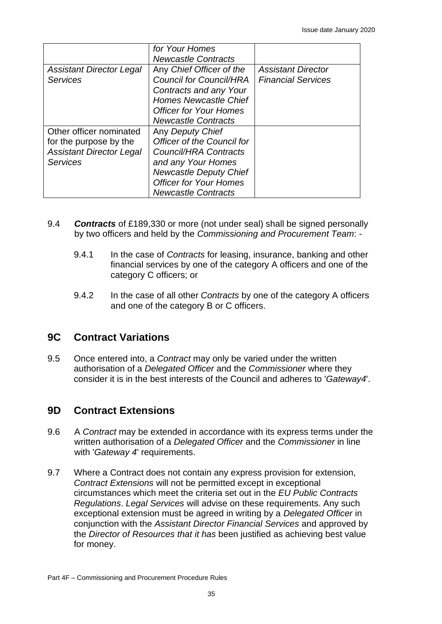|                                                                                                         | for Your Homes<br><b>Newcastle Contracts</b>                                                                                                                                                  |                                                        |
|---------------------------------------------------------------------------------------------------------|-----------------------------------------------------------------------------------------------------------------------------------------------------------------------------------------------|--------------------------------------------------------|
| <b>Assistant Director Legal</b><br><b>Services</b>                                                      | Any Chief Officer of the<br><b>Council for Council/HRA</b><br>Contracts and any Your<br><b>Homes Newcastle Chief</b><br><b>Officer for Your Homes</b><br><b>Newcastle Contracts</b>           | <b>Assistant Director</b><br><b>Financial Services</b> |
| Other officer nominated<br>for the purpose by the<br><b>Assistant Director Legal</b><br><b>Services</b> | Any Deputy Chief<br>Officer of the Council for<br>Council/HRA Contracts<br>and any Your Homes<br><b>Newcastle Deputy Chief</b><br><b>Officer for Your Homes</b><br><b>Newcastle Contracts</b> |                                                        |

- 9.4 *Contracts* of £189,330 or more (not under seal) shall be signed personally by two officers and held by the *Commissioning and Procurement Team*: -
	- 9.4.1 In the case of *Contracts* for leasing, insurance, banking and other financial services by one of the category A officers and one of the category C officers; or
	- 9.4.2 In the case of all other *Contracts* by one of the category A officers and one of the category B or C officers.

# **9C Contract Variations**

9.5 Once entered into, a *Contract* may only be varied under the written authorisation of a *Delegated Officer* and the *Commissioner* where they consider it is in the best interests of the Council and adheres to '*Gateway4*'.

# **9D Contract Extensions**

- 9.6 A *Contract* may be extended in accordance with its express terms under the written authorisation of a *Delegated Officer* and the *Commissioner* in line with '*Gateway 4*' requirements.
- 9.7 Where a Contract does not contain any express provision for extension, *Contract Extensions* will not be permitted except in exceptional circumstances which meet the criteria set out in the *EU Public Contracts Regulations*. *Legal Services* will advise on these requirements. Any such exceptional extension must be agreed in writing by a *Delegated Officer* in conjunction with the *Assistant Director Financial Services* and approved by the *Director of Resources that it has* been justified as achieving best value for money.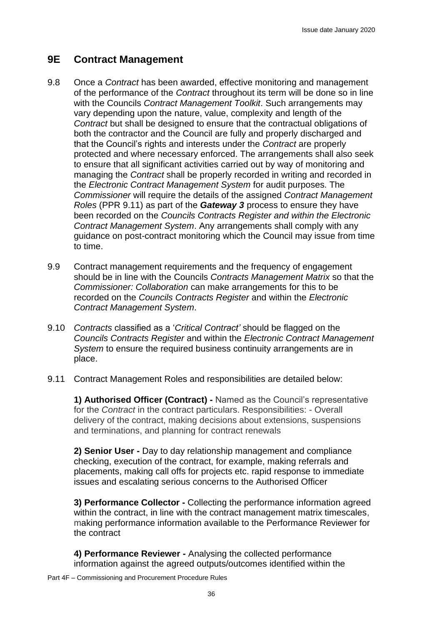### **9E Contract Management**

- 9.8 Once a *Contract* has been awarded, effective monitoring and management of the performance of the *Contract* throughout its term will be done so in line with the Councils *Contract Management Toolkit*. Such arrangements may vary depending upon the nature, value, complexity and length of the *Contract* but shall be designed to ensure that the contractual obligations of both the contractor and the Council are fully and properly discharged and that the Council's rights and interests under the *Contract* are properly protected and where necessary enforced. The arrangements shall also seek to ensure that all significant activities carried out by way of monitoring and managing the *Contract* shall be properly recorded in writing and recorded in the *Electronic Contract Management System* for audit purposes. The *Commissioner* will require the details of the assigned *Contract Management Roles* (PPR 9.11) as part of the *Gateway 3* process to ensure they have been recorded on the *Councils Contracts Register and within the Electronic Contract Management System*. Any arrangements shall comply with any guidance on post-contract monitoring which the Council may issue from time to time.
- 9.9 Contract management requirements and the frequency of engagement should be in line with the Councils *Contracts Management Matrix* so that the *Commissioner: Collaboration* can make arrangements for this to be recorded on the *Councils Contracts Register* and within the *Electronic Contract Management System*.
- 9.10 *Contracts* classified as a '*Critical Contract'* should be flagged on the *Councils Contracts Register* and within the *Electronic Contract Management System* to ensure the required business continuity arrangements are in place.
- 9.11 Contract Management Roles and responsibilities are detailed below:

**1) Authorised Officer (Contract) -** Named as the Council's representative for the *Contract* in the contract particulars. Responsibilities: - Overall delivery of the contract, making decisions about extensions, suspensions and terminations, and planning for contract renewals

**2) Senior User -** Day to day relationship management and compliance checking, execution of the contract, for example, making referrals and placements, making call offs for projects etc. rapid response to immediate issues and escalating serious concerns to the Authorised Officer

**3) Performance Collector -** Collecting the performance information agreed within the contract, in line with the contract management matrix timescales, making performance information available to the Performance Reviewer for the contract

**4) Performance Reviewer -** Analysing the collected performance information against the agreed outputs/outcomes identified within the

Part 4F – Commissioning and Procurement Procedure Rules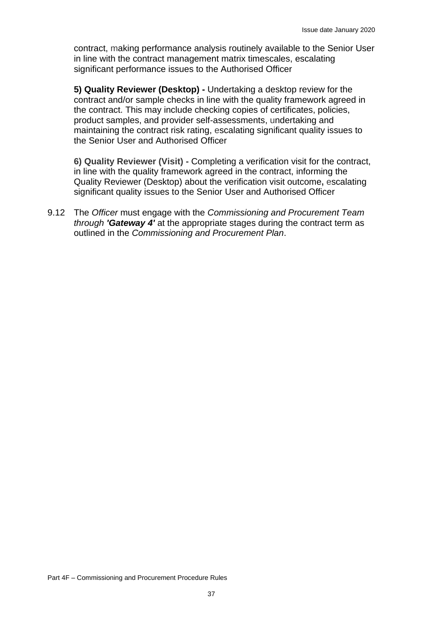contract, making performance analysis routinely available to the Senior User in line with the contract management matrix timescales, escalating significant performance issues to the Authorised Officer

**5) Quality Reviewer (Desktop) -** Undertaking a desktop review for the contract and/or sample checks in line with the quality framework agreed in the contract. This may include checking copies of certificates, policies, product samples, and provider self-assessments, undertaking and maintaining the contract risk rating, escalating significant quality issues to the Senior User and Authorised Officer

**6) Quality Reviewer (Visit) -** Completing a verification visit for the contract, in line with the quality framework agreed in the contract, informing the Quality Reviewer (Desktop) about the verification visit outcome**,** escalating significant quality issues to the Senior User and Authorised Officer

9.12 The *Officer* must engage with the *Commissioning and Procurement Team through 'Gateway 4'* at the appropriate stages during the contract term as outlined in the *Commissioning and Procurement Plan*.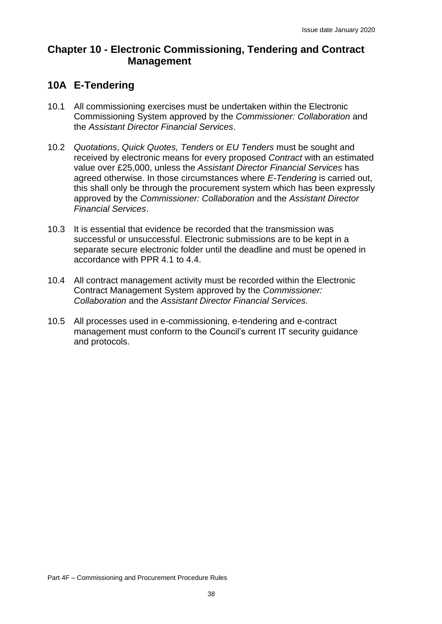# **Chapter 10 - Electronic Commissioning, Tendering and Contract Management**

### **10A E-Tendering**

- 10.1 All commissioning exercises must be undertaken within the Electronic Commissioning System approved by the *Commissioner: Collaboration* and the *Assistant Director Financial Services*.
- 10.2 *Quotations*, *Quick Quotes, Tenders* or *EU Tenders* must be sought and received by electronic means for every proposed *Contract* with an estimated value over £25,000, unless the *Assistant Director Financial Services* has agreed otherwise. In those circumstances where *E-Tendering* is carried out, this shall only be through the procurement system which has been expressly approved by the *Commissioner: Collaboration* and the *Assistant Director Financial Services*.
- 10.3 It is essential that evidence be recorded that the transmission was successful or unsuccessful. Electronic submissions are to be kept in a separate secure electronic folder until the deadline and must be opened in accordance with PPR 4.1 to 4.4.
- 10.4 All contract management activity must be recorded within the Electronic Contract Management System approved by the *Commissioner: Collaboration* and the *Assistant Director Financial Services.*
- 10.5 All processes used in e-commissioning, e-tendering and e-contract management must conform to the Council's current IT security guidance and protocols.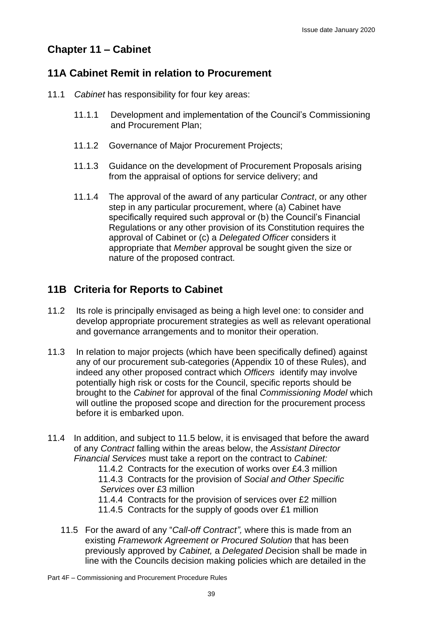# **Chapter 11 – Cabinet**

# **11A Cabinet Remit in relation to Procurement**

- 11.1 *Cabinet* has responsibility for four key areas:
	- 11.1.1 Development and implementation of the Council's Commissioning and Procurement Plan;
	- 11.1.2 Governance of Major Procurement Projects;
	- 11.1.3 Guidance on the development of Procurement Proposals arising from the appraisal of options for service delivery; and
	- 11.1.4 The approval of the award of any particular *Contract*, or any other step in any particular procurement, where (a) Cabinet have specifically required such approval or (b) the Council's Financial Regulations or any other provision of its Constitution requires the approval of Cabinet or (c) a *Delegated Officer* considers it appropriate that *Member* approval be sought given the size or nature of the proposed contract.

# **11B Criteria for Reports to Cabinet**

- 11.2 Its role is principally envisaged as being a high level one: to consider and develop appropriate procurement strategies as well as relevant operational and governance arrangements and to monitor their operation.
- 11.3 In relation to major projects (which have been specifically defined) against any of our procurement sub-categories (Appendix 10 of these Rules), and indeed any other proposed contract which *Officers* identify may involve potentially high risk or costs for the Council, specific reports should be brought to the *Cabinet* for approval of the final *Commissioning Model* which will outline the proposed scope and direction for the procurement process before it is embarked upon.
- 11.4 In addition, and subject to 11.5 below, it is envisaged that before the award of any *Contract* falling within the areas below, the *Assistant Director Financial Services* must take a report on the contract to *Cabinet:*
	- 11.4.2 Contracts for the execution of works over £4.3 million

11.4.3 Contracts for the provision of *Social and Other Specific Services* over £3 million

11.4.4 Contracts for the provision of services over £2 million

- 11.4.5 Contracts for the supply of goods over £1 million
- 11.5 For the award of any "*Call-off Contract",* where this is made from an existing *Framework Agreement or Procured Solution* that has been previously approved by *Cabinet,* a *Delegated D*ecision shall be made in line with the Councils decision making policies which are detailed in the

Part 4F – Commissioning and Procurement Procedure Rules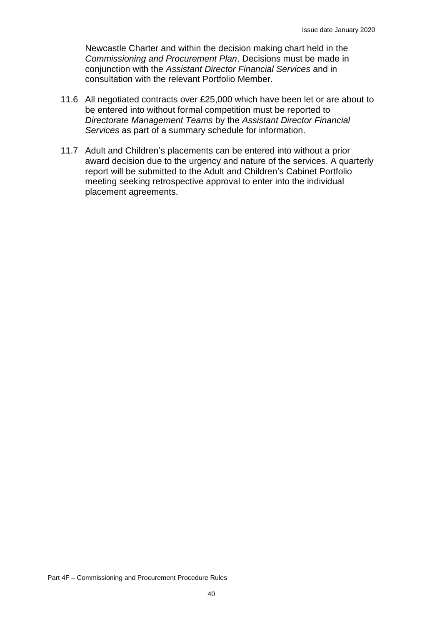Newcastle Charter and within the decision making chart held in the *Commissioning and Procurement Plan*. Decisions must be made in conjunction with the *Assistant Director Financial Services* and in consultation with the relevant Portfolio Member.

- 11.6 All negotiated contracts over £25,000 which have been let or are about to be entered into without formal competition must be reported to *Directorate Management Teams* by the *Assistant Director Financial Services* as part of a summary schedule for information.
- 11.7 Adult and Children's placements can be entered into without a prior award decision due to the urgency and nature of the services. A quarterly report will be submitted to the Adult and Children's Cabinet Portfolio meeting seeking retrospective approval to enter into the individual placement agreements.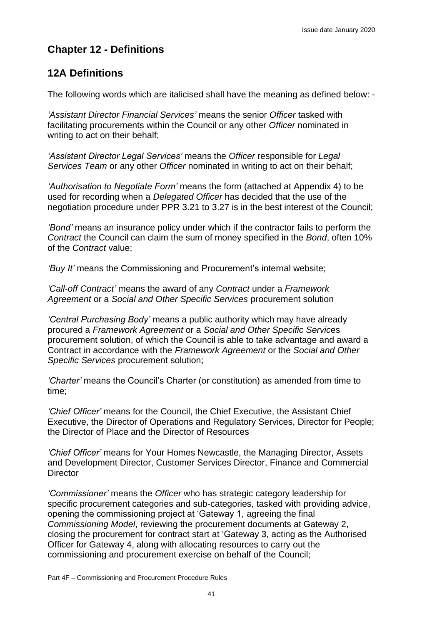# **Chapter 12 - Definitions**

# **12A Definitions**

The following words which are italicised shall have the meaning as defined below: -

*'Assistant Director Financial Services'* means the senior *Officer* tasked with facilitating procurements within the Council or any other *Officer* nominated in writing to act on their behalf;

*'Assistant Director Legal Services'* means the *Officer* responsible for *Legal Services Team* or any other *Officer* nominated in writing to act on their behalf;

*'Authorisation to Negotiate Form'* means the form (attached at Appendix 4) to be used for recording when a *Delegated Officer* has decided that the use of the negotiation procedure under PPR 3.21 to 3.27 is in the best interest of the Council;

*'Bond'* means an insurance policy under which if the contractor fails to perform the *Contract* the Council can claim the sum of money specified in the *Bond*, often 10% of the *Contract* value;

*'Buy It'* means the Commissioning and Procurement's internal website;

*'Call-off Contract'* means the award of any *Contract* under a *Framework Agreement* or a *Social and Other Specific Services* procurement solution

*'Central Purchasing Body'* means a public authority which may have already procured a *Framework Agreement* or a *Social and Other Specific Servic*es procurement solution, of which the Council is able to take advantage and award a Contract in accordance with the *Framework Agreement* or the *Social and Other Specific Services* procurement solution;

*'Charter'* means the Council's Charter (or constitution) as amended from time to time;

*'Chief Officer'* means for the Council, the Chief Executive, the Assistant Chief Executive, the Director of Operations and Regulatory Services, Director for People; the Director of Place and the Director of Resources

*'Chief Officer'* means for Your Homes Newcastle, the Managing Director, Assets and Development Director, Customer Services Director, Finance and Commercial **Director** 

*'Commissioner'* means the *Officer* who has strategic category leadership for specific procurement categories and sub-categories, tasked with providing advice, opening the commissioning project at 'Gateway 1, agreeing the final *Commissioning Model*, reviewing the procurement documents at Gateway 2, closing the procurement for contract start at 'Gateway 3, acting as the Authorised Officer for Gateway 4, along with allocating resources to carry out the commissioning and procurement exercise on behalf of the Council;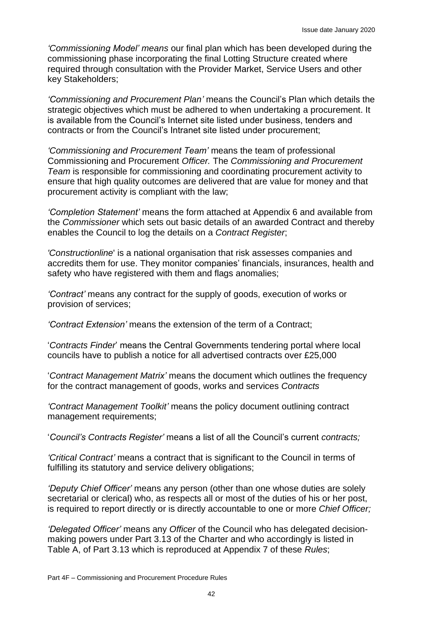*'Commissioning Model' means* our final plan which has been developed during the commissioning phase incorporating the final Lotting Structure created where required through consultation with the Provider Market, Service Users and other key Stakeholders;

*'Commissioning and Procurement Plan'* means the Council's Plan which details the strategic objectives which must be adhered to when undertaking a procurement. It is available from the Council's Internet site listed under business, tenders and contracts or from the Council's Intranet site listed under procurement;

*'Commissioning and Procurement Team'* means the team of professional Commissioning and Procurement *Officer.* The *Commissioning and Procurement Team* is responsible for commissioning and coordinating procurement activity to ensure that high quality outcomes are delivered that are value for money and that procurement activity is compliant with the law;

*'Completion Statement'* means the form attached at Appendix 6 and available from the *Commissioner* which sets out basic details of an awarded Contract and thereby enables the Council to log the details on a *Contract Register*;

*'Constructionline*' is a national organisation that risk assesses companies and accredits them for use. They monitor companies' financials, insurances, health and safety who have registered with them and flags anomalies;

*'Contract'* means any contract for the supply of goods, execution of works or provision of services;

*'Contract Extension'* means the extension of the term of a Contract;

'*Contracts Finder*' means the Central Governments tendering portal where local councils have to publish a notice for all advertised contracts over £25,000

'*Contract Management Matrix'* means the document which outlines the frequency for the contract management of goods, works and services *Contracts*

*'Contract Management Toolkit'* means the policy document outlining contract management requirements;

'*Council's Contracts Register'* means a list of all the Council's current *contracts;*

*'Critical Contract'* means a contract that is significant to the Council in terms of fulfilling its statutory and service delivery obligations;

*'Deputy Chief Officer'* means any person (other than one whose duties are solely secretarial or clerical) who, as respects all or most of the duties of his or her post, is required to report directly or is directly accountable to one or more *Chief Officer;*

*'Delegated Officer'* means any *Officer* of the Council who has delegated decisionmaking powers under Part 3.13 of the Charter and who accordingly is listed in Table A, of Part 3.13 which is reproduced at Appendix 7 of these *Rules*;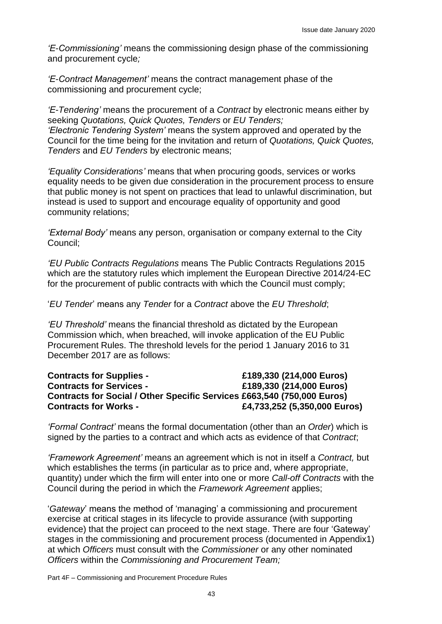*'E-Commissioning'* means the commissioning design phase of the commissioning and procurement cycle*;*

*'E-Contract Management'* means the contract management phase of the commissioning and procurement cycle;

*'E-Tendering'* means the procurement of a *Contract* by electronic means either by seeking *Quotations, Quick Quotes, Tenders* or *EU Tenders; 'Electronic Tendering System'* means the system approved and operated by the Council for the time being for the invitation and return of *Quotations, Quick Quotes, Tenders* and *EU Tenders* by electronic means;

*'Equality Considerations'* means that when procuring goods, services or works equality needs to be given due consideration in the procurement process to ensure that public money is not spent on practices that lead to unlawful discrimination, but instead is used to support and encourage equality of opportunity and good community relations;

*'External Body'* means any person, organisation or company external to the City Council;

*'EU Public Contracts Regulations* means The Public Contracts Regulations 2015 which are the statutory rules which implement the European Directive 2014/24-EC for the procurement of public contracts with which the Council must comply;

'*EU Tender*' means any *Tender* for a *Contract* above the *EU Threshold*;

*'EU Threshold'* means the financial threshold as dictated by the European Commission which, when breached, will invoke application of the EU Public Procurement Rules. The threshold levels for the period 1 January 2016 to 31 December 2017 are as follows:

#### **Contracts for Supplies - £189,330 (214,000 Euros) Contracts for Services - £189,330 (214,000 Euros) Contracts for Social / Other Specific Services £663,540 (750,000 Euros) Contracts for Works - £4,733,252 (5,350,000 Euros)**

*'Formal Contract'* means the formal documentation (other than an *Order*) which is signed by the parties to a contract and which acts as evidence of that *Contract*;

*'Framework Agreement'* means an agreement which is not in itself a *Contract,* but which establishes the terms (in particular as to price and, where appropriate, quantity) under which the firm will enter into one or more *Call-off Contracts* with the Council during the period in which the *Framework Agreement* applies;

'*Gateway*' means the method of 'managing' a commissioning and procurement exercise at critical stages in its lifecycle to provide assurance (with supporting evidence) that the project can proceed to the next stage. There are four 'Gateway' stages in the commissioning and procurement process (documented in Appendix1) at which *Officers* must consult with the *Commissioner* or any other nominated *Officers* within the *Commissioning and Procurement Team;*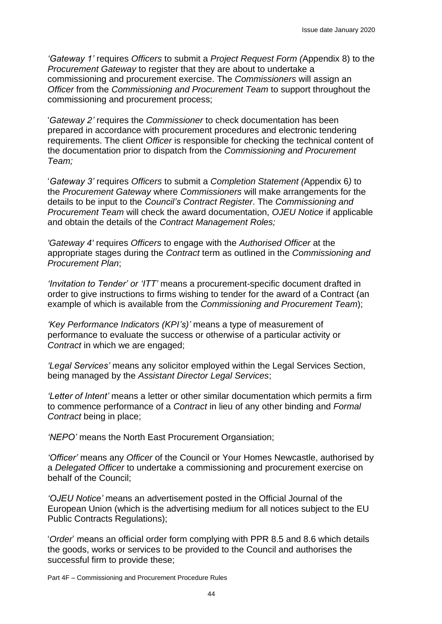*'Gateway 1'* requires *Officers* to submit a *Project Request Form (*Appendix 8) to the *Procurement Gateway* to register that they are about to undertake a commissioning and procurement exercise. The *Commissioners* will assign an *Officer* from the *Commissioning and Procurement Team* to support throughout the commissioning and procurement process;

'*Gateway 2'* requires the *Commissioner* to check documentation has been prepared in accordance with procurement procedures and electronic tendering requirements. The client *Officer* is responsible for checking the technical content of the documentation prior to dispatch from the *Commissioning and Procurement Team;*

'*Gateway 3'* requires *Officers* to submit a *Completion Statement (*Appendix 6*)* to the *Procurement Gateway* where *Commissioners* will make arrangements for the details to be input to the *Council's Contract Register*. The *Commissioning and Procurement Team* will check the award documentation, *OJEU Notice* if applicable and obtain the details of the *Contract Management Roles;* 

*'Gateway 4'* requires *Officers* to engage with the *Authorised Officer* at the appropriate stages during the *Contract* term as outlined in the *Commissioning and Procurement Plan*;

*'Invitation to Tender' or 'ITT'* means a procurement-specific document drafted in order to give instructions to firms wishing to tender for the award of a Contract (an example of which is available from the *Commissioning and Procurement Team*);

*'Key Performance Indicators (KPI's)'* means a type of measurement of performance to evaluate the success or otherwise of a particular activity or *Contract* in which we are engaged;

*'Legal Services'* means any solicitor employed within the Legal Services Section, being managed by the *Assistant Director Legal Services*;

*'Letter of Intent'* means a letter or other similar documentation which permits a firm to commence performance of a *Contract* in lieu of any other binding and *Formal Contract* being in place;

*'NEPO'* means the North East Procurement Organsiation;

*'Officer'* means any *Officer* of the Council or Your Homes Newcastle, authorised by a *Delegated Officer* to undertake a commissioning and procurement exercise on behalf of the Council;

*'OJEU Notice'* means an advertisement posted in the Official Journal of the European Union (which is the advertising medium for all notices subject to the EU Public Contracts Regulations);

'*Order*' means an official order form complying with PPR 8.5 and 8.6 which details the goods, works or services to be provided to the Council and authorises the successful firm to provide these;

Part 4F – Commissioning and Procurement Procedure Rules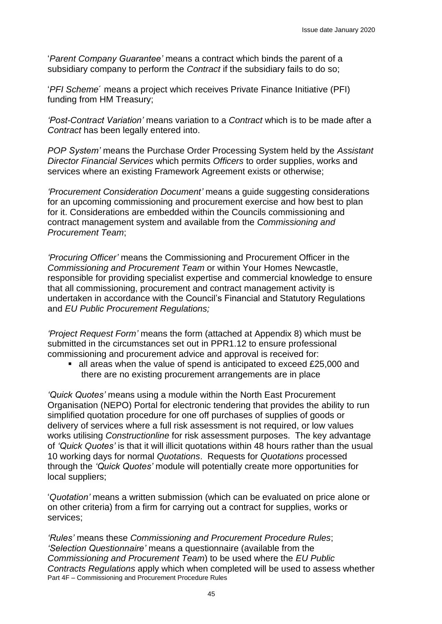'*Parent Company Guarantee'* means a contract which binds the parent of a subsidiary company to perform the *Contract* if the subsidiary fails to do so;

'*PFI Scheme*´ means a project which receives Private Finance Initiative (PFI) funding from HM Treasury;

*'Post-Contract Variation'* means variation to a *Contract* which is to be made after a *Contract* has been legally entered into.

*POP System'* means the Purchase Order Processing System held by the *Assistant Director Financial Services* which permits *Officers* to order supplies, works and services where an existing Framework Agreement exists or otherwise;

*'Procurement Consideration Document'* means a guide suggesting considerations for an upcoming commissioning and procurement exercise and how best to plan for it. Considerations are embedded within the Councils commissioning and contract management system and available from the *Commissioning and Procurement Team*;

*'Procuring Officer'* means the Commissioning and Procurement Officer in the *Commissioning and Procurement Team* or within Your Homes Newcastle, responsible for providing specialist expertise and commercial knowledge to ensure that all commissioning, procurement and contract management activity is undertaken in accordance with the Council's Financial and Statutory Regulations and *EU Public Procurement Regulations;*

*'Project Request Form'* means the form (attached at Appendix 8) which must be submitted in the circumstances set out in PPR1.12 to ensure professional commissioning and procurement advice and approval is received for:

■ all areas when the value of spend is anticipated to exceed £25,000 and there are no existing procurement arrangements are in place

*'Quick Quotes'* means using a module within the North East Procurement Organisation (NEPO) Portal for electronic tendering that provides the ability to run simplified quotation procedure for one off purchases of supplies of goods or delivery of services where a full risk assessment is not required, or low values works utilising *Constructionline* for risk assessment purposes. The key advantage of *'Quick Quotes'* is that it will illicit quotations within 48 hours rather than the usual 10 working days for normal *Quotations*. Requests for *Quotations* processed through the *'Quick Quotes'* module will potentially create more opportunities for local suppliers;

'*Quotation'* means a written submission (which can be evaluated on price alone or on other criteria) from a firm for carrying out a contract for supplies, works or services;

Part 4F – Commissioning and Procurement Procedure Rules *'Rules'* means these *Commissioning and Procurement Procedure Rules*; *'Selection Questionnaire'* means a questionnaire (available from the *Commissioning and Procurement Team*) to be used where the *EU Public Contracts Regulations* apply which when completed will be used to assess whether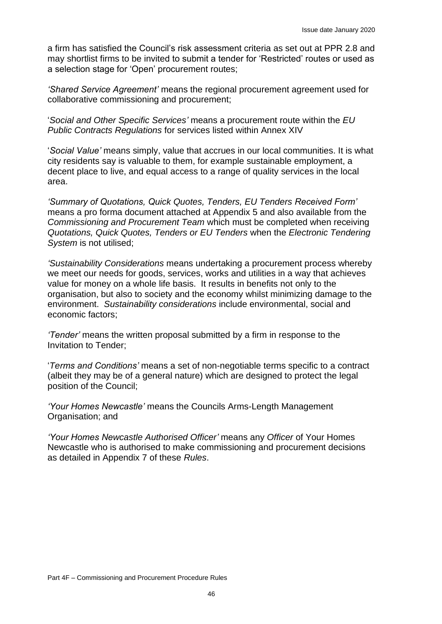a firm has satisfied the Council's risk assessment criteria as set out at PPR 2.8 and may shortlist firms to be invited to submit a tender for 'Restricted' routes or used as a selection stage for 'Open' procurement routes;

*'Shared Service Agreement'* means the regional procurement agreement used for collaborative commissioning and procurement;

'*Social and Other Specific Services'* means a procurement route within the *EU Public Contracts Regulations* for services listed within Annex XIV

'*Social Value'* means simply, value that accrues in our local communities. It is what city residents say is valuable to them, for example sustainable employment, a decent place to live, and equal access to a range of quality services in the local area.

*'Summary of Quotations, Quick Quotes, Tenders, EU Tenders Received Form'* means a pro forma document attached at Appendix 5 and also available from the *Commissioning and Procurement Team* which must be completed when receiving *Quotations, Quick Quotes, Tenders or EU Tenders* when the *Electronic Tendering System* is not utilised;

*'Sustainability Considerations* means undertaking a procurement process whereby we meet our needs for goods, services, works and utilities in a way that achieves value for money on a whole life basis. It results in benefits not only to the organisation, but also to society and the economy whilst minimizing damage to the environment. *Sustainability considerations* include environmental, social and economic factors;

*'Tender'* means the written proposal submitted by a firm in response to the Invitation to Tender;

'*Terms and Conditions'* means a set of non-negotiable terms specific to a contract (albeit they may be of a general nature) which are designed to protect the legal position of the Council;

*'Your Homes Newcastle'* means the Councils Arms-Length Management Organisation; and

*'Your Homes Newcastle Authorised Officer'* means any *Officer* of Your Homes Newcastle who is authorised to make commissioning and procurement decisions as detailed in Appendix 7 of these *Rules*.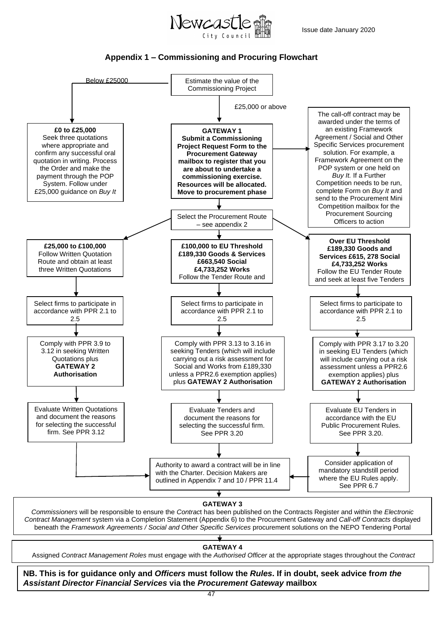



#### **Appendix 1 – Commissioning and Procuring Flowchart**



**GATEWAY 4**

Assigned *Contract Management Roles* must engage with the *Authorised Officer* at the appropriate stages throughout the *Contract*

Part 4F – Commissioning and Procurement Procedure Rules *Assistant Director Financial Services* **via the** *Procurement Gateway* **mailbox NB. This is for guidance only and** *Officers* **must follow the** *Rules***. If in doubt, seek advice fr***om the*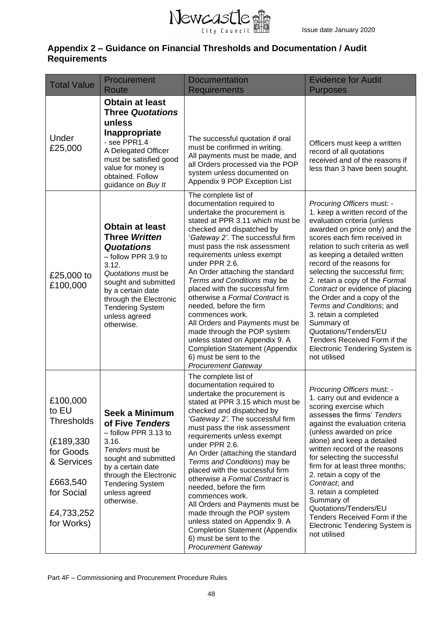

### **Appendix 2 – Guidance on Financial Thresholds and Documentation / Audit Requirements**

| <b>Total Value</b>                                                                                                                    | Procurement<br>Route                                                                                                                                                                                                                                       | <b>Documentation</b><br><b>Requirements</b>                                                                                                                                                                                                                                                                                                                                                                                                                                                                                                                                                                                                                         | <b>Evidence for Audit</b><br><b>Purposes</b>                                                                                                                                                                                                                                                                                                                                                                                                                                                                                                                                           |
|---------------------------------------------------------------------------------------------------------------------------------------|------------------------------------------------------------------------------------------------------------------------------------------------------------------------------------------------------------------------------------------------------------|---------------------------------------------------------------------------------------------------------------------------------------------------------------------------------------------------------------------------------------------------------------------------------------------------------------------------------------------------------------------------------------------------------------------------------------------------------------------------------------------------------------------------------------------------------------------------------------------------------------------------------------------------------------------|----------------------------------------------------------------------------------------------------------------------------------------------------------------------------------------------------------------------------------------------------------------------------------------------------------------------------------------------------------------------------------------------------------------------------------------------------------------------------------------------------------------------------------------------------------------------------------------|
| Under<br>£25,000                                                                                                                      | <b>Obtain at least</b><br><b>Three Quotations</b><br>unless<br>Inappropriate<br>- see PPR1.4<br>A Delegated Officer<br>must be satisfied good<br>value for money is<br>obtained. Follow<br>guidance on Buy It                                              | The successful quotation if oral<br>must be confirmed in writing.<br>All payments must be made, and<br>all Orders processed via the POP<br>system unless documented on<br>Appendix 9 POP Exception List                                                                                                                                                                                                                                                                                                                                                                                                                                                             | Officers must keep a written<br>record of all quotations<br>received and of the reasons if<br>less than 3 have been sought.                                                                                                                                                                                                                                                                                                                                                                                                                                                            |
| £25,000 to<br>£100,000                                                                                                                | <b>Obtain at least</b><br><b>Three Written</b><br><b>Quotations</b><br>- follow PPR 3.9 to<br>3.12.<br>Quotations must be<br>sought and submitted<br>by a certain date<br>through the Electronic<br><b>Tendering System</b><br>unless agreed<br>otherwise. | The complete list of<br>documentation required to<br>undertake the procurement is<br>stated at PPR 3.11 which must be<br>checked and dispatched by<br>'Gateway 2'. The successful firm<br>must pass the risk assessment<br>requirements unless exempt<br>under PPR 2.6.<br>An Order attaching the standard<br>Terms and Conditions may be<br>placed with the successful firm<br>otherwise a Formal Contract is<br>needed, before the firm<br>commences work.<br>All Orders and Payments must be<br>made through the POP system<br>unless stated on Appendix 9. A<br><b>Completion Statement (Appendix</b><br>6) must be sent to the<br><b>Procurement Gateway</b>   | Procuring Officers must: -<br>1. keep a written record of the<br>evaluation criteria (unless<br>awarded on price only) and the<br>scores each firm received in<br>relation to such criteria as well<br>as keeping a detailed written<br>record of the reasons for<br>selecting the successful firm;<br>2. retain a copy of the Formal<br>Contract or evidence of placing<br>the Order and a copy of the<br>Terms and Conditions; and<br>3. retain a completed<br>Summary of<br>Quotations/Tenders/EU<br>Tenders Received Form if the<br>Electronic Tendering System is<br>not utilised |
| £100,000<br>to EU<br><b>Thresholds</b><br>(£189,330)<br>for Goods<br>& Services<br>£663,540<br>for Social<br>£4,733,252<br>for Works) | Seek a Minimum<br>of Five Tenders<br>$-$ follow PPR 3.13 to<br>3.16.<br>Tenders must be<br>sought and submitted<br>by a certain date<br>through the Electronic<br><b>Tendering System</b><br>unless agreed<br>otherwise.                                   | The complete list of<br>documentation required to<br>undertake the procurement is<br>stated at PPR 3.15 which must be<br>checked and dispatched by<br>'Gateway 2'. The successful firm<br>must pass the risk assessment<br>requirements unless exempt<br>under PPR 2.6.<br>An Order (attaching the standard<br>Terms and Conditions) may be<br>placed with the successful firm<br>otherwise a Formal Contract is<br>needed, before the firm<br>commences work.<br>All Orders and Payments must be<br>made through the POP system<br>unless stated on Appendix 9. A<br><b>Completion Statement (Appendix</b><br>6) must be sent to the<br><b>Procurement Gateway</b> | Procuring Officers must: -<br>1. carry out and evidence a<br>scoring exercise which<br>assesses the firms' Tenders<br>against the evaluation criteria<br>(unless awarded on price<br>alone) and keep a detailed<br>written record of the reasons<br>for selecting the successful<br>firm for at least three months;<br>2. retain a copy of the<br>Contract; and<br>3. retain a completed<br>Summary of<br>Quotations/Tenders/EU<br>Tenders Received Form if the<br><b>Electronic Tendering System is</b><br>not utilised                                                               |

Part 4F – Commissioning and Procurement Procedure Rules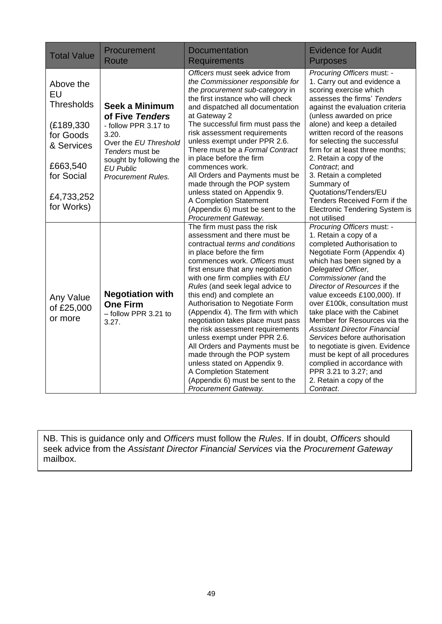| <b>Total Value</b>                                                                                                                  | Procurement<br><b>Route</b>                                                                                                                                                                       | <b>Documentation</b><br><b>Requirements</b>                                                                                                                                                                                                                                                                                                                                                                                                                                                                                                                                                                                                                                  | <b>Evidence for Audit</b><br><b>Purposes</b>                                                                                                                                                                                                                                                                                                                                                                                                                                                                                                                                                              |
|-------------------------------------------------------------------------------------------------------------------------------------|---------------------------------------------------------------------------------------------------------------------------------------------------------------------------------------------------|------------------------------------------------------------------------------------------------------------------------------------------------------------------------------------------------------------------------------------------------------------------------------------------------------------------------------------------------------------------------------------------------------------------------------------------------------------------------------------------------------------------------------------------------------------------------------------------------------------------------------------------------------------------------------|-----------------------------------------------------------------------------------------------------------------------------------------------------------------------------------------------------------------------------------------------------------------------------------------------------------------------------------------------------------------------------------------------------------------------------------------------------------------------------------------------------------------------------------------------------------------------------------------------------------|
| Above the<br>EU<br><b>Thresholds</b><br>(£189,330)<br>for Goods<br>& Services<br>£663,540<br>for Social<br>£4,733,252<br>for Works) | <b>Seek a Minimum</b><br>of Five Tenders<br>- follow PPR 3.17 to<br>3.20.<br>Over the EU Threshold<br>Tenders must be<br>sought by following the<br><b>EU Public</b><br><b>Procurement Rules.</b> | Officers must seek advice from<br>the Commissioner responsible for<br>the procurement sub-category in<br>the first instance who will check<br>and dispatched all documentation<br>at Gateway 2<br>The successful firm must pass the<br>risk assessment requirements<br>unless exempt under PPR 2.6.<br>There must be a Formal Contract<br>in place before the firm<br>commences work.<br>All Orders and Payments must be<br>made through the POP system<br>unless stated on Appendix 9.<br>A Completion Statement<br>(Appendix 6) must be sent to the<br>Procurement Gateway.                                                                                                | Procuring Officers must: -<br>1. Carry out and evidence a<br>scoring exercise which<br>assesses the firms' Tenders<br>against the evaluation criteria<br>(unless awarded on price<br>alone) and keep a detailed<br>written record of the reasons<br>for selecting the successful<br>firm for at least three months;<br>2. Retain a copy of the<br>Contract; and<br>3. Retain a completed<br>Summary of<br>Quotations/Tenders/EU<br>Tenders Received Form if the<br>Electronic Tendering System is<br>not utilised                                                                                         |
| Any Value<br>of £25,000<br>or more                                                                                                  | <b>Negotiation with</b><br><b>One Firm</b><br>- follow PPR 3.21 to<br>3.27.                                                                                                                       | The firm must pass the risk<br>assessment and there must be<br>contractual terms and conditions<br>in place before the firm<br>commences work. Officers must<br>first ensure that any negotiation<br>with one firm complies with EU<br>Rules (and seek legal advice to<br>this end) and complete an<br>Authorisation to Negotiate Form<br>(Appendix 4). The firm with which<br>negotiation takes place must pass<br>the risk assessment requirements<br>unless exempt under PPR 2.6.<br>All Orders and Payments must be<br>made through the POP system<br>unless stated on Appendix 9.<br>A Completion Statement<br>(Appendix 6) must be sent to the<br>Procurement Gateway. | Procuring Officers must: -<br>1. Retain a copy of a<br>completed Authorisation to<br>Negotiate Form (Appendix 4)<br>which has been signed by a<br>Delegated Officer,<br>Commissioner (and the<br>Director of Resources if the<br>value exceeds £100,000). If<br>over £100k, consultation must<br>take place with the Cabinet<br>Member for Resources via the<br><b>Assistant Director Financial</b><br>Services before authorisation<br>to negotiate is given. Evidence<br>must be kept of all procedures<br>complied in accordance with<br>PPR 3.21 to 3.27; and<br>2. Retain a copy of the<br>Contract. |

NB. This is guidance only and *Officers* must follow the *Rules*. If in doubt, *Officers* should seek advice from the *Assistant Director Financial Services* via the *Procurement Gateway*  mailbox.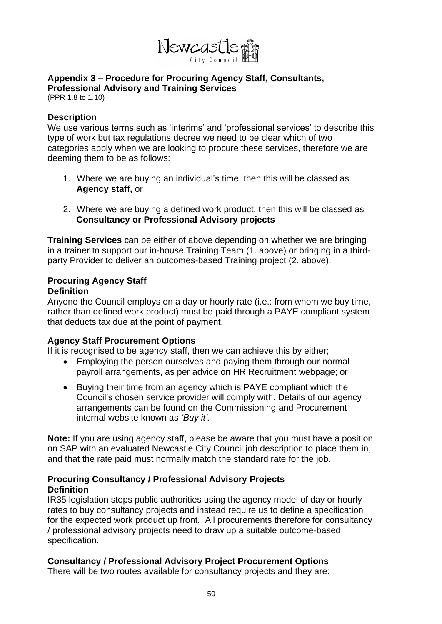

#### **Appendix 3 – Procedure for Procuring Agency Staff, Consultants, Professional Advisory and Training Services**

(PPR 1.8 to 1.10)

#### **Description**

We use various terms such as 'interims' and 'professional services' to describe this type of work but tax regulations decree we need to be clear which of two categories apply when we are looking to procure these services, therefore we are deeming them to be as follows:

- 1. Where we are buying an individual's time, then this will be classed as **Agency staff,** or
- 2. Where we are buying a defined work product, then this will be classed as **Consultancy or Professional Advisory projects**

**Training Services** can be either of above depending on whether we are bringing in a trainer to support our in-house Training Team (1. above) or bringing in a thirdparty Provider to deliver an outcomes-based Training project (2. above).

# **Procuring Agency Staff**

#### **Definition**

Anyone the Council employs on a day or hourly rate (i.e.: from whom we buy time, rather than defined work product) must be paid through a PAYE compliant system that deducts tax due at the point of payment.

#### **Agency Staff Procurement Options**

If it is recognised to be agency staff, then we can achieve this by either;

- Employing the person ourselves and paying them through our normal payroll arrangements, as per advice on HR Recruitment webpage; or
- Buying their time from an agency which is PAYE compliant which the Council's chosen service provider will comply with. Details of our agency arrangements can be found on the Commissioning and Procurement internal website known as *'Buy it'.*

**Note:** If you are using agency staff, please be aware that you must have a position on SAP with an evaluated Newcastle City Council job description to place them in, and that the rate paid must normally match the standard rate for the job.

#### **Procuring Consultancy / Professional Advisory Projects Definition**

IR35 legislation stops public authorities using the agency model of day or hourly rates to buy consultancy projects and instead require us to define a specification for the expected work product up front. All procurements therefore for consultancy / professional advisory projects need to draw up a suitable outcome-based specification.

#### **Consultancy / Professional Advisory Project Procurement Options**

There will be two routes available for consultancy projects and they are: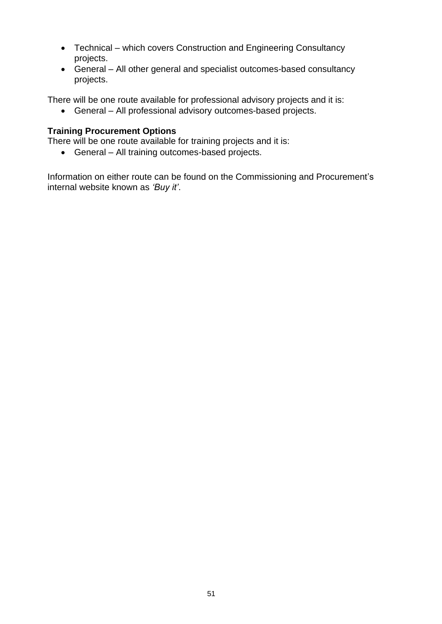- Technical which covers Construction and Engineering Consultancy projects.
- General All other general and specialist outcomes-based consultancy projects.

There will be one route available for professional advisory projects and it is:

• General – All professional advisory outcomes-based projects.

#### **Training Procurement Options**

There will be one route available for training projects and it is:

• General – All training outcomes-based projects.

Information on either route can be found on the Commissioning and Procurement's internal website known as *'Buy it'*.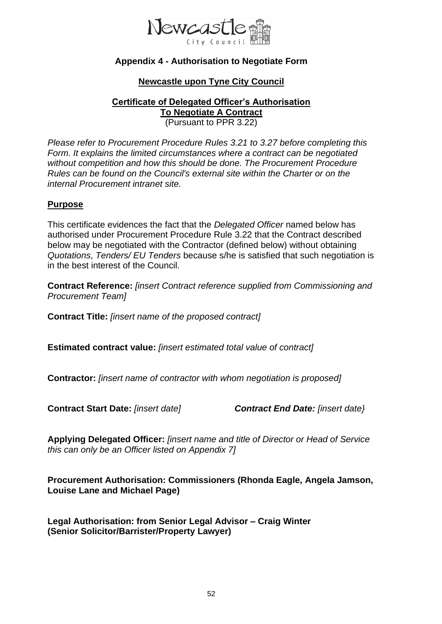

### **Appendix 4 - Authorisation to Negotiate Form**

#### **Newcastle upon Tyne City Council**

**Certificate of Delegated Officer's Authorisation To Negotiate A Contract** (Pursuant to PPR 3.22)

*Please refer to Procurement Procedure Rules 3.21 to 3.27 before completing this Form. It explains the limited circumstances where a contract can be negotiated without competition and how this should be done. The Procurement Procedure Rules can be found on the Council's external site within the Charter or on the internal Procurement intranet site.*

#### **Purpose**

This certificate evidences the fact that the *Delegated Officer* named below has authorised under Procurement Procedure Rule 3.22 that the Contract described below may be negotiated with the Contractor (defined below) without obtaining *Quotations*, *Tenders/ EU Tenders* because s/he is satisfied that such negotiation is in the best interest of the Council.

**Contract Reference:** *[insert Contract reference supplied from Commissioning and Procurement Team]*

**Contract Title:** *[insert name of the proposed contract]*

**Estimated contract value:** *[insert estimated total value of contract]*

**Contractor:** *[insert name of contractor with whom negotiation is proposed]*

**Contract Start Date:** *[insert date] Contract End Date: [insert date}*

**Applying Delegated Officer:** *[insert name and title of Director or Head of Service this can only be an Officer listed on Appendix 7]*

**Procurement Authorisation: Commissioners (Rhonda Eagle, Angela Jamson, Louise Lane and Michael Page)**

**Legal Authorisation: from Senior Legal Advisor – Craig Winter (Senior Solicitor/Barrister/Property Lawyer)**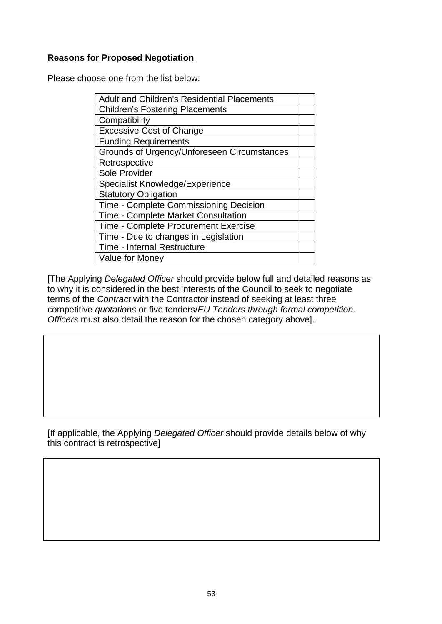#### **Reasons for Proposed Negotiation**

Please choose one from the list below:

| <b>Adult and Children's Residential Placements</b> |  |
|----------------------------------------------------|--|
| <b>Children's Fostering Placements</b>             |  |
| Compatibility                                      |  |
| <b>Excessive Cost of Change</b>                    |  |
| <b>Funding Requirements</b>                        |  |
| Grounds of Urgency/Unforeseen Circumstances        |  |
| Retrospective                                      |  |
| Sole Provider                                      |  |
| Specialist Knowledge/Experience                    |  |
| <b>Statutory Obligation</b>                        |  |
| Time - Complete Commissioning Decision             |  |
| Time - Complete Market Consultation                |  |
| <b>Time - Complete Procurement Exercise</b>        |  |
| Time - Due to changes in Legislation               |  |
| <b>Time - Internal Restructure</b>                 |  |
| <b>Value for Money</b>                             |  |

[The Applying *Delegated Officer* should provide below full and detailed reasons as to why it is considered in the best interests of the Council to seek to negotiate terms of the *Contract* with the Contractor instead of seeking at least three competitive *quotations* or five tenders/*EU Tenders through formal competition*. *Officers* must also detail the reason for the chosen category above].

[If applicable, the Applying *Delegated Officer* should provide details below of why this contract is retrospective]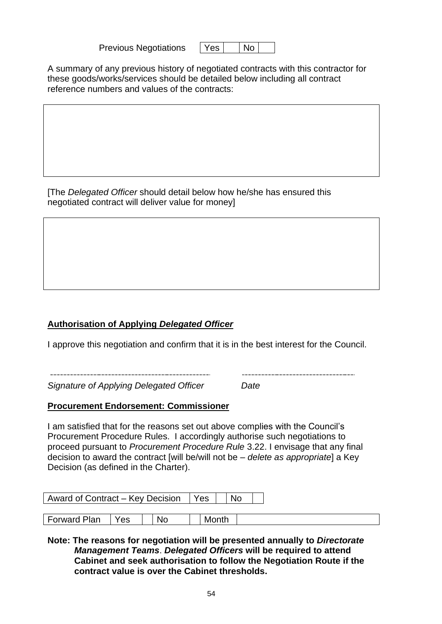Previous Negotiations | Yes

| es | No |  |
|----|----|--|
|----|----|--|

A summary of any previous history of negotiated contracts with this contractor for these goods/works/services should be detailed below including all contract reference numbers and values of the contracts:

[The *Delegated Officer* should detail below how he/she has ensured this negotiated contract will deliver value for money]

### **Authorisation of Applying** *Delegated Officer*

I approve this negotiation and confirm that it is in the best interest for the Council.

*Signature of Applying Delegated Officer Date*

#### **Procurement Endorsement: Commissioner**

I am satisfied that for the reasons set out above complies with the Council's Procurement Procedure Rules. I accordingly authorise such negotiations to proceed pursuant to *Procurement Procedure Rule* 3.22. I envisage that any final decision to award the contract [will be/will not be *– delete as appropriate*] a Key Decision (as defined in the Charter).

| Award of Contract – Key Decision   Yes |     |    | No.   |  |
|----------------------------------------|-----|----|-------|--|
|                                        |     |    |       |  |
| Forward Plan                           | Yes | No | Month |  |

**Note: The reasons for negotiation will be presented annually to** *Directorate Management Teams*. *Delegated Officers* **will be required to attend Cabinet and seek authorisation to follow the Negotiation Route if the contract value is over the Cabinet thresholds.**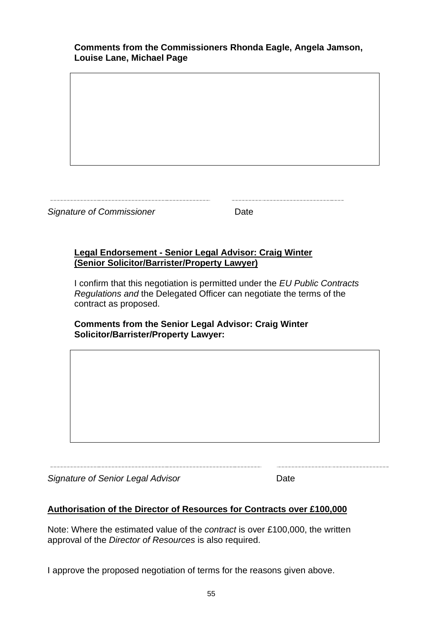**Signature of Commissioner Date** 

#### **Legal Endorsement - Senior Legal Advisor: Craig Winter (Senior Solicitor/Barrister/Property Lawyer)**

I confirm that this negotiation is permitted under the *EU Public Contracts Regulations and* the Delegated Officer can negotiate the terms of the contract as proposed.

**Comments from the Senior Legal Advisor: Craig Winter Solicitor/Barrister/Property Lawyer:**

*Signature of Senior Legal Advisor* Date

#### **Authorisation of the Director of Resources for Contracts over £100,000**

Note: Where the estimated value of the *contract* is over £100,000, the written approval of the *Director of Resources* is also required.

I approve the proposed negotiation of terms for the reasons given above.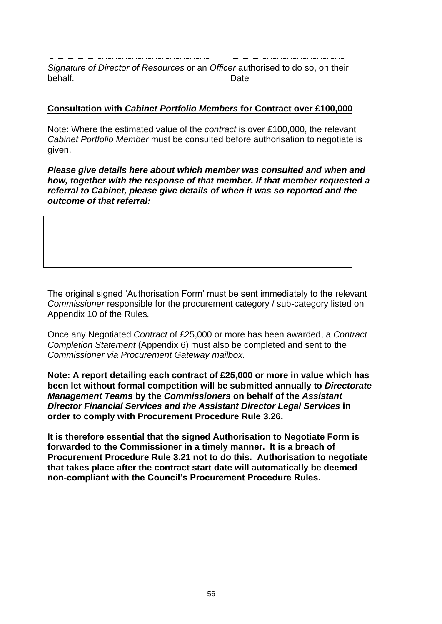*Signature of Director of Resources* or an *Officer* authorised to do so, on their behalf. Date

#### **Consultation with** *Cabinet Portfolio Members* **for Contract over £100,000**

Note: Where the estimated value of the *contract* is over £100,000, the relevant *Cabinet Portfolio Member* must be consulted before authorisation to negotiate is given.

*Please give details here about which member was consulted and when and how, together with the response of that member. If that member requested a referral to Cabinet, please give details of when it was so reported and the outcome of that referral:*

The original signed 'Authorisation Form' must be sent immediately to the relevant *Commissioner* responsible for the procurement category / sub-category listed on Appendix 10 of the Rules*.*

Once any Negotiated *Contract* of £25,000 or more has been awarded, a *Contract Completion Statement* (Appendix 6) must also be completed and sent to the *Commissioner via Procurement Gateway mailbox.*

**Note: A report detailing each contract of £25,000 or more in value which has been let without formal competition will be submitted annually to** *Directorate Management Teams* **by the** *Commissioners* **on behalf of the** *Assistant Director Financial Services and the Assistant Director Legal Services* **in order to comply with Procurement Procedure Rule 3.26.** 

**It is therefore essential that the signed Authorisation to Negotiate Form is forwarded to the Commissioner in a timely manner. It is a breach of Procurement Procedure Rule 3.21 not to do this. Authorisation to negotiate that takes place after the contract start date will automatically be deemed non-compliant with the Council's Procurement Procedure Rules.**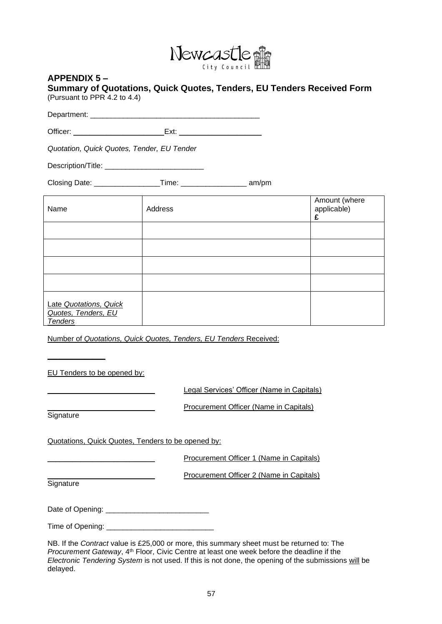

#### **APPENDIX 5 –**

| Summary of Quotations, Quick Quotes, Tenders, EU Tenders Received Form |  |  |  |
|------------------------------------------------------------------------|--|--|--|
| (Pursuant to PPR 4.2 to 4.4)                                           |  |  |  |

Department: \_\_\_\_\_\_\_\_\_\_\_\_\_\_\_\_\_\_\_\_\_\_\_\_\_\_\_\_\_\_\_\_\_\_\_\_\_\_\_\_\_

Officer: \_\_\_\_\_\_\_\_\_\_\_\_\_\_\_\_\_\_\_\_\_\_Ext: \_\_\_\_\_\_\_\_\_\_\_\_\_\_\_\_\_\_\_\_

*Quotation, Quick Quotes, Tender, EU Tender*

Description/Title: \_\_\_\_\_\_\_\_\_\_\_\_\_\_\_\_\_\_\_\_\_\_\_\_

Closing Date: \_\_\_\_\_\_\_\_\_\_\_\_\_\_\_\_Time: \_\_\_\_\_\_\_\_\_\_\_\_\_\_\_\_ am/pm

| Name                                                            | Address | Amount (where<br>applicable)<br>£ |
|-----------------------------------------------------------------|---------|-----------------------------------|
|                                                                 |         |                                   |
|                                                                 |         |                                   |
|                                                                 |         |                                   |
|                                                                 |         |                                   |
| Late Quotations, Quick<br>Quotes, Tenders, EU<br><b>Tenders</b> |         |                                   |

Number of *Quotations, Quick Quotes, Tenders, EU Tenders* Received:

EU Tenders to be opened by:

Legal Services' Officer (Name in Capitals)

**Signature** 

**\_\_\_\_\_\_\_\_\_\_\_\_\_\_**

Procurement Officer (Name in Capitals)

Quotations, Quick Quotes, Tenders to be opened by:

Procurement Officer 1 (Name in Capitals)

Procurement Officer 2 (Name in Capitals)

**Signature** 

Date of Opening: \_\_\_\_\_\_\_\_\_\_\_\_\_\_\_\_\_\_\_\_\_\_\_\_\_

Time of Opening: \_\_\_\_\_\_\_\_\_\_\_\_\_\_\_\_\_\_\_\_\_\_\_\_\_\_

NB. If the *Contract* value is £25,000 or more, this summary sheet must be returned to: The *Procurement Gateway*, 4<sup>th</sup> Floor, Civic Centre at least one week before the deadline if the *Electronic Tendering System* is not used. If this is not done, the opening of the submissions will be delayed.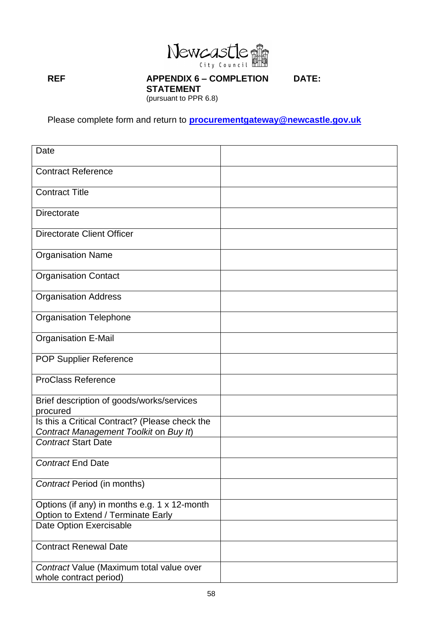

#### **REF APPENDIX 6 – COMPLETION DATE:**

**STATEMENT**  (pursuant to PPR 6.8)

Please complete form and return to **[procurementgateway@newcastle.gov.uk](mailto:procurementgateway@newcastle.gov.uk)**

| Date                                                                                     |  |
|------------------------------------------------------------------------------------------|--|
| <b>Contract Reference</b>                                                                |  |
| <b>Contract Title</b>                                                                    |  |
| <b>Directorate</b>                                                                       |  |
| <b>Directorate Client Officer</b>                                                        |  |
| <b>Organisation Name</b>                                                                 |  |
| <b>Organisation Contact</b>                                                              |  |
| <b>Organisation Address</b>                                                              |  |
| <b>Organisation Telephone</b>                                                            |  |
| <b>Organisation E-Mail</b>                                                               |  |
| <b>POP Supplier Reference</b>                                                            |  |
| <b>ProClass Reference</b>                                                                |  |
| Brief description of goods/works/services<br>procured                                    |  |
| Is this a Critical Contract? (Please check the<br>Contract Management Toolkit on Buy It) |  |
| <b>Contract Start Date</b>                                                               |  |
| <b>Contract End Date</b>                                                                 |  |
| <b>Contract Period (in months)</b>                                                       |  |
| Options (if any) in months e.g. 1 x 12-month<br>Option to Extend / Terminate Early       |  |
| Date Option Exercisable                                                                  |  |
| <b>Contract Renewal Date</b>                                                             |  |
| Contract Value (Maximum total value over<br>whole contract period)                       |  |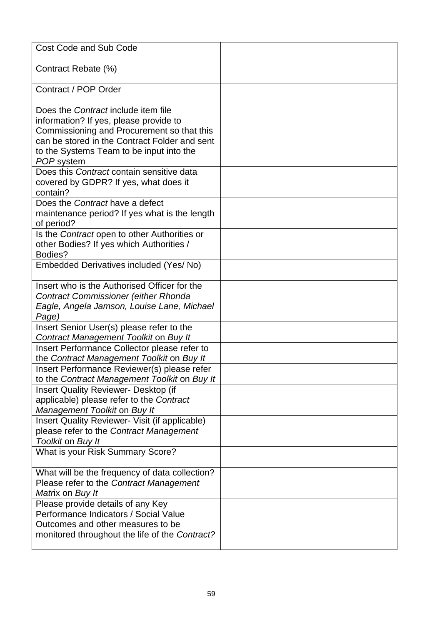| <b>Cost Code and Sub Code</b>                                                                                                                                                                                                          |  |
|----------------------------------------------------------------------------------------------------------------------------------------------------------------------------------------------------------------------------------------|--|
| Contract Rebate (%)                                                                                                                                                                                                                    |  |
| Contract / POP Order                                                                                                                                                                                                                   |  |
| Does the Contract include item file<br>information? If yes, please provide to<br>Commissioning and Procurement so that this<br>can be stored in the Contract Folder and sent<br>to the Systems Team to be input into the<br>POP system |  |
| Does this Contract contain sensitive data<br>covered by GDPR? If yes, what does it<br>contain?                                                                                                                                         |  |
| Does the Contract have a defect<br>maintenance period? If yes what is the length<br>of period?                                                                                                                                         |  |
| Is the Contract open to other Authorities or<br>other Bodies? If yes which Authorities /<br>Bodies?                                                                                                                                    |  |
| Embedded Derivatives included (Yes/No)                                                                                                                                                                                                 |  |
| Insert who is the Authorised Officer for the<br><b>Contract Commissioner (either Rhonda</b><br>Eagle, Angela Jamson, Louise Lane, Michael<br>Page)                                                                                     |  |
| Insert Senior User(s) please refer to the<br>Contract Management Toolkit on Buy It                                                                                                                                                     |  |
| Insert Performance Collector please refer to<br>the Contract Management Toolkit on Buy It                                                                                                                                              |  |
| Insert Performance Reviewer(s) please refer<br>to the Contract Management Toolkit on Buy It                                                                                                                                            |  |
| <b>Insert Quality Reviewer- Desktop (if</b><br>applicable) please refer to the Contract<br>Management Toolkit on Buy It                                                                                                                |  |
| Insert Quality Reviewer- Visit (if applicable)<br>please refer to the Contract Management<br>Toolkit on Buy It                                                                                                                         |  |
| What is your Risk Summary Score?                                                                                                                                                                                                       |  |
| What will be the frequency of data collection?<br>Please refer to the Contract Management<br>Matrix on Buy It                                                                                                                          |  |
| Please provide details of any Key<br>Performance Indicators / Social Value<br>Outcomes and other measures to be<br>monitored throughout the life of the Contract?                                                                      |  |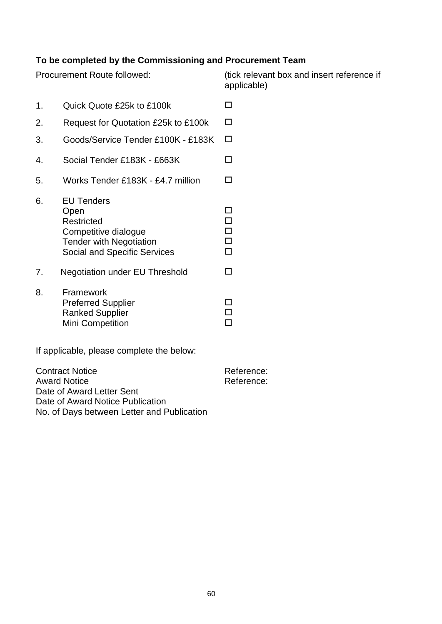### **To be completed by the Commissioning and Procurement Team**

Procurement Route followed: (tick relevant box and insert reference if applicable)

1. Quick Quote £25k to £100k 2. Request for Quotation £25k to £100k 3. Goods/Service Tender £100K - £183K 4. Social Tender £183K - £663K 5. Works Tender £183K - £4.7 million 6. EU Tenders Open and Donald Contract of the Donald Contract of the Donald Contract of the Donald Contract of the Donald Co Restricted D Competitive dialogue<br>
Tender with Negotiation<br>  $\square$ Tender with Negotiation Social and Specific Services  $\Box$ 7. Negotiation under EU Threshold 8. Framework Preferred Supplier □<br>Ranked Supplier □ Ranked Supplier Mini Competition **D** 

If applicable, please complete the below:

Contract Notice **Reference:** Reference: Award Notice **Reference:** Reference: Date of Award Letter Sent Date of Award Notice Publication No. of Days between Letter and Publication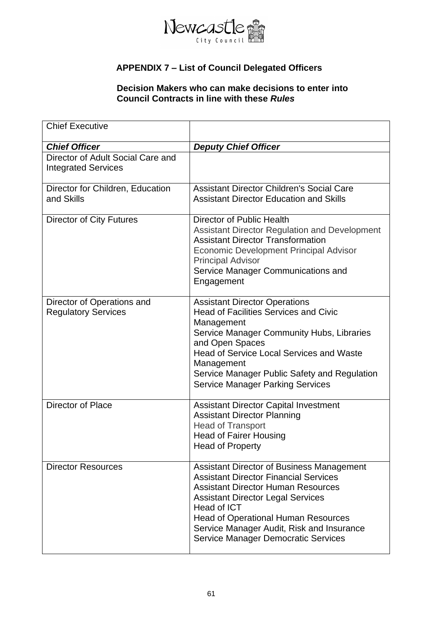

### **APPENDIX 7 – List of Council Delegated Officers**

#### **Decision Makers who can make decisions to enter into Council Contracts in line with these** *Rules*

| <b>Chief Executive</b>                                          |                                                                                                                                                                                                                                                                                                                                                   |
|-----------------------------------------------------------------|---------------------------------------------------------------------------------------------------------------------------------------------------------------------------------------------------------------------------------------------------------------------------------------------------------------------------------------------------|
| <b>Chief Officer</b>                                            | <b>Deputy Chief Officer</b>                                                                                                                                                                                                                                                                                                                       |
| Director of Adult Social Care and<br><b>Integrated Services</b> |                                                                                                                                                                                                                                                                                                                                                   |
| Director for Children, Education<br>and Skills                  | <b>Assistant Director Children's Social Care</b><br><b>Assistant Director Education and Skills</b>                                                                                                                                                                                                                                                |
| <b>Director of City Futures</b>                                 | Director of Public Health<br><b>Assistant Director Regulation and Development</b><br><b>Assistant Director Transformation</b><br><b>Economic Development Principal Advisor</b><br><b>Principal Advisor</b><br>Service Manager Communications and<br>Engagement                                                                                    |
| Director of Operations and<br><b>Regulatory Services</b>        | <b>Assistant Director Operations</b><br><b>Head of Facilities Services and Civic</b><br>Management<br>Service Manager Community Hubs, Libraries<br>and Open Spaces<br><b>Head of Service Local Services and Waste</b><br>Management<br>Service Manager Public Safety and Regulation<br><b>Service Manager Parking Services</b>                    |
| <b>Director of Place</b>                                        | <b>Assistant Director Capital Investment</b><br><b>Assistant Director Planning</b><br><b>Head of Transport</b><br><b>Head of Fairer Housing</b><br>Head of Property                                                                                                                                                                               |
| <b>Director Resources</b>                                       | <b>Assistant Director of Business Management</b><br><b>Assistant Director Financial Services</b><br><b>Assistant Director Human Resources</b><br><b>Assistant Director Legal Services</b><br>Head of ICT<br><b>Head of Operational Human Resources</b><br>Service Manager Audit, Risk and Insurance<br><b>Service Manager Democratic Services</b> |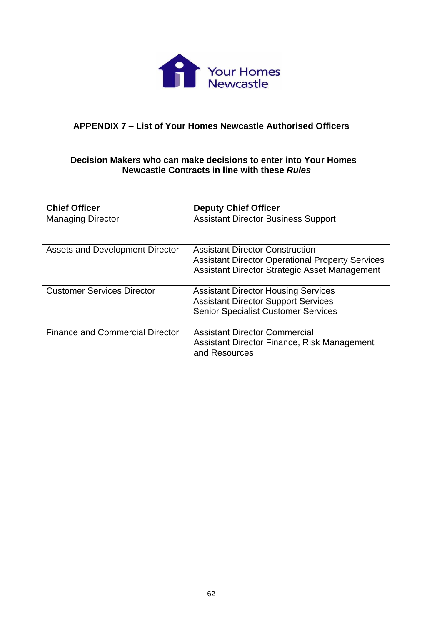

#### **APPENDIX 7 – List of Your Homes Newcastle Authorised Officers**

#### **Decision Makers who can make decisions to enter into Your Homes Newcastle Contracts in line with these** *Rules*

| <b>Chief Officer</b>                   | <b>Deputy Chief Officer</b>                                                                                                                        |
|----------------------------------------|----------------------------------------------------------------------------------------------------------------------------------------------------|
| <b>Managing Director</b>               | <b>Assistant Director Business Support</b>                                                                                                         |
| Assets and Development Director        | <b>Assistant Director Construction</b><br><b>Assistant Director Operational Property Services</b><br>Assistant Director Strategic Asset Management |
| <b>Customer Services Director</b>      | <b>Assistant Director Housing Services</b><br><b>Assistant Director Support Services</b><br><b>Senior Specialist Customer Services</b>             |
| <b>Finance and Commercial Director</b> | <b>Assistant Director Commercial</b><br>Assistant Director Finance, Risk Management<br>and Resources                                               |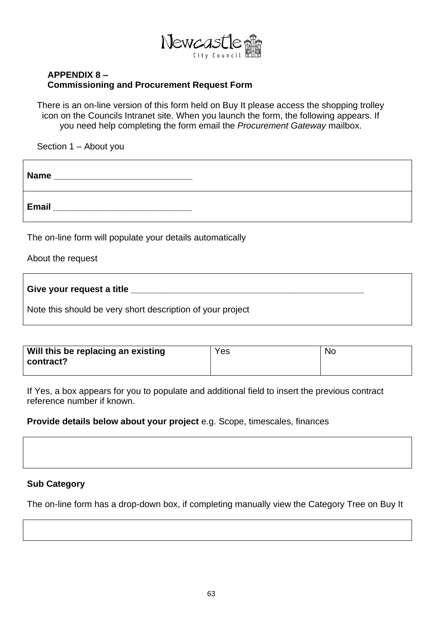

#### **APPENDIX 8 – Commissioning and Procurement Request Form**

There is an on-line version of this form held on Buy It please access the shopping trolley icon on the Councils Intranet site. When you launch the form, the following appears. If you need help completing the form email the *Procurement Gateway* mailbox.

Section 1 – About you

| <b>Name</b> |  |
|-------------|--|
| Email       |  |

The on-line form will populate your details automatically

About the request

**Give your request a title \_\_\_\_\_\_\_\_\_\_\_\_\_\_\_\_\_\_\_\_\_\_\_\_\_\_\_\_\_\_\_\_\_\_\_\_\_\_\_\_\_\_\_\_\_\_\_**

Note this should be very short description of your project

| $\parallel$ Will this be replacing an existing | Yes | No. |
|------------------------------------------------|-----|-----|
| ∣ contract?                                    |     |     |

If Yes, a box appears for you to populate and additional field to insert the previous contract reference number if known.

#### **Provide details below about your project** e.g. Scope, timescales, finances



The on-line form has a drop-down box, if completing manually view the Category Tree on Buy It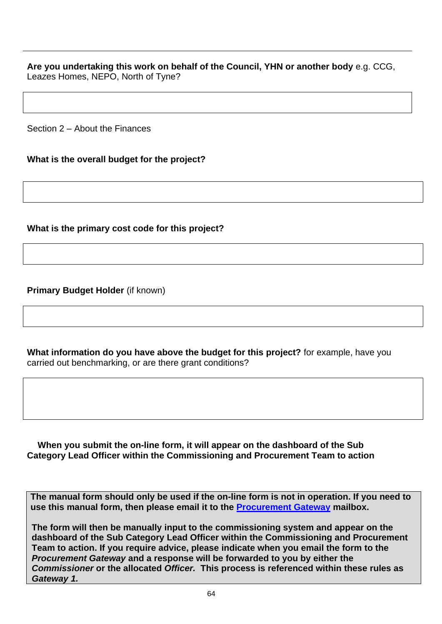**Are you undertaking this work on behalf of the Council, YHN or another body** e.g. CCG, Leazes Homes, NEPO, North of Tyne?

Section 2 – About the Finances

**What is the overall budget for the project?**

**What is the primary cost code for this project?**

**Primary Budget Holder** (if known)

**What information do you have above the budget for this project?** for example, have you carried out benchmarking, or are there grant conditions?

**When you submit the on-line form, it will appear on the dashboard of the Sub Category Lead Officer within the Commissioning and Procurement Team to action**

**The manual form should only be used if the on-line form is not in operation. If you need to use this manual form, then please email it to the Procurement Gateway mailbox.** 

**The form will then be manually input to the commissioning system and appear on the dashboard of the Sub Category Lead Officer within the Commissioning and Procurement Team to action. If you require advice, please indicate when you email the form to the**  *Procurement Gateway* **and a response will be forwarded to you by either the**  *Commissioner* **or the allocated** *Officer.* **This process is referenced within these rules as**  *Gateway 1.*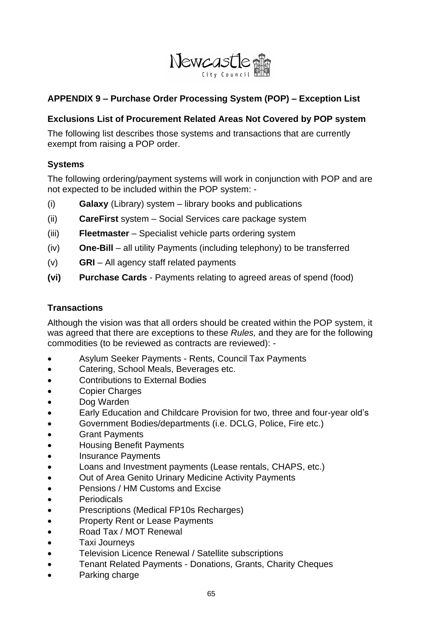

### **APPENDIX 9 – Purchase Order Processing System (POP) – Exception List**

#### **Exclusions List of Procurement Related Areas Not Covered by POP system**

The following list describes those systems and transactions that are currently exempt from raising a POP order.

#### **Systems**

The following ordering/payment systems will work in conjunction with POP and are not expected to be included within the POP system: -

- (i) **Galaxy** (Library) system library books and publications
- (ii) **CareFirst** system Social Services care package system
- (iii) **Fleetmaster** Specialist vehicle parts ordering system
- (iv) **One-Bill** all utility Payments (including telephony) to be transferred
- (v) **GRI** All agency staff related payments
- **(vi) Purchase Cards** Payments relating to agreed areas of spend (food)

#### **Transactions**

Although the vision was that all orders should be created within the POP system, it was agreed that there are exceptions to these *Rules,* and they are for the following commodities (to be reviewed as contracts are reviewed): -

- Asylum Seeker Payments Rents, Council Tax Payments
- Catering, School Meals, Beverages etc.
- Contributions to External Bodies
- Copier Charges
- Dog Warden
- Early Education and Childcare Provision for two, three and four-year old's
- Government Bodies/departments (i.e. DCLG, Police, Fire etc.)
- **Grant Payments**
- Housing Benefit Payments
- Insurance Payments
- Loans and Investment payments (Lease rentals, CHAPS, etc.)
- Out of Area Genito Urinary Medicine Activity Payments
- Pensions / HM Customs and Excise
- **Periodicals**
- Prescriptions (Medical FP10s Recharges)
- Property Rent or Lease Payments
- Road Tax / MOT Renewal
- Taxi Journeys
- Television Licence Renewal / Satellite subscriptions
- Tenant Related Payments Donations, Grants, Charity Cheques
- Parking charge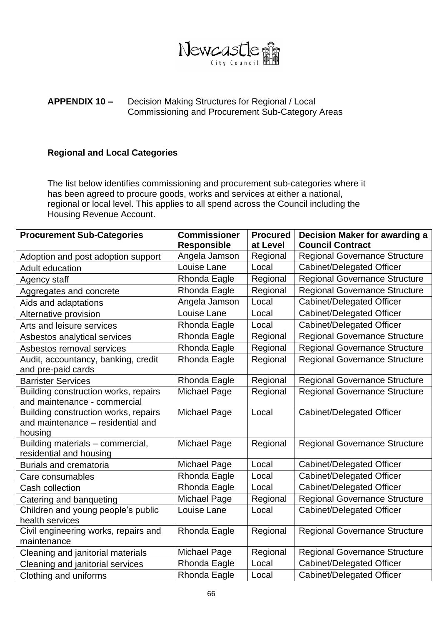

#### **APPENDIX 10 –** Decision Making Structures for Regional / Local Commissioning and Procurement Sub-Category Areas

#### **Regional and Local Categories**

The list below identifies commissioning and procurement sub-categories where it has been agreed to procure goods, works and services at either a national, regional or local level. This applies to all spend across the Council including the Housing Revenue Account.

| <b>Procurement Sub-Categories</b>                        | <b>Commissioner</b> | <b>Procured</b> | <b>Decision Maker for awarding a</b> |
|----------------------------------------------------------|---------------------|-----------------|--------------------------------------|
|                                                          | <b>Responsible</b>  | at Level        | <b>Council Contract</b>              |
| Adoption and post adoption support                       | Angela Jamson       | Regional        | <b>Regional Governance Structure</b> |
| <b>Adult education</b>                                   | Louise Lane         | Local           | <b>Cabinet/Delegated Officer</b>     |
| Agency staff                                             | Rhonda Eagle        | Regional        | <b>Regional Governance Structure</b> |
| Aggregates and concrete                                  | Rhonda Eagle        | Regional        | <b>Regional Governance Structure</b> |
| Aids and adaptations                                     | Angela Jamson       | Local           | <b>Cabinet/Delegated Officer</b>     |
| Alternative provision                                    | Louise Lane         | Local           | Cabinet/Delegated Officer            |
| Arts and leisure services                                | Rhonda Eagle        | Local           | <b>Cabinet/Delegated Officer</b>     |
| Asbestos analytical services                             | Rhonda Eagle        | Regional        | <b>Regional Governance Structure</b> |
| Asbestos removal services                                | Rhonda Eagle        | Regional        | <b>Regional Governance Structure</b> |
| Audit, accountancy, banking, credit                      | Rhonda Eagle        | Regional        | <b>Regional Governance Structure</b> |
| and pre-paid cards                                       |                     |                 |                                      |
| <b>Barrister Services</b>                                | Rhonda Eagle        | Regional        | <b>Regional Governance Structure</b> |
| Building construction works, repairs                     | Michael Page        | Regional        | <b>Regional Governance Structure</b> |
| and maintenance - commercial                             |                     |                 |                                      |
| Building construction works, repairs                     | Michael Page        | Local           | <b>Cabinet/Delegated Officer</b>     |
| and maintenance - residential and                        |                     |                 |                                      |
| housing                                                  |                     |                 |                                      |
| Building materials - commercial,                         | Michael Page        | Regional        | <b>Regional Governance Structure</b> |
| residential and housing<br><b>Burials and crematoria</b> | Michael Page        | Local           | <b>Cabinet/Delegated Officer</b>     |
|                                                          | Rhonda Eagle        |                 |                                      |
| Care consumables                                         |                     | Local           | <b>Cabinet/Delegated Officer</b>     |
| Cash collection                                          | Rhonda Eagle        | Local           | Cabinet/Delegated Officer            |
| Catering and banqueting                                  | Michael Page        | Regional        | <b>Regional Governance Structure</b> |
| Children and young people's public                       | Louise Lane         | Local           | Cabinet/Delegated Officer            |
| health services                                          |                     |                 |                                      |
| Civil engineering works, repairs and                     | Rhonda Eagle        | Regional        | <b>Regional Governance Structure</b> |
| maintenance                                              |                     |                 |                                      |
| Cleaning and janitorial materials                        | Michael Page        | Regional        | <b>Regional Governance Structure</b> |
| Cleaning and janitorial services                         | Rhonda Eagle        | Local           | <b>Cabinet/Delegated Officer</b>     |
| Clothing and uniforms                                    | Rhonda Eagle        | Local           | Cabinet/Delegated Officer            |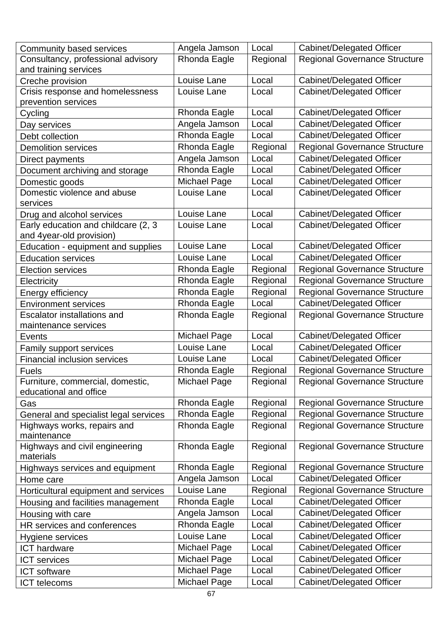| Community based services                                        | Angela Jamson       | Local    | <b>Cabinet/Delegated Officer</b>     |
|-----------------------------------------------------------------|---------------------|----------|--------------------------------------|
| Consultancy, professional advisory                              | Rhonda Eagle        | Regional | <b>Regional Governance Structure</b> |
| and training services                                           |                     |          |                                      |
| Creche provision                                                | Louise Lane         | Local    | Cabinet/Delegated Officer            |
| Crisis response and homelessness<br>prevention services         | Louise Lane         | Local    | <b>Cabinet/Delegated Officer</b>     |
| Cycling                                                         | Rhonda Eagle        | Local    | Cabinet/Delegated Officer            |
| Day services                                                    | Angela Jamson       | Local    | <b>Cabinet/Delegated Officer</b>     |
| Debt collection                                                 | Rhonda Eagle        | Local    | <b>Cabinet/Delegated Officer</b>     |
| <b>Demolition services</b>                                      | Rhonda Eagle        | Regional | <b>Regional Governance Structure</b> |
| Direct payments                                                 | Angela Jamson       | Local    | <b>Cabinet/Delegated Officer</b>     |
| Document archiving and storage                                  | Rhonda Eagle        | Local    | <b>Cabinet/Delegated Officer</b>     |
| Domestic goods                                                  | Michael Page        | Local    | <b>Cabinet/Delegated Officer</b>     |
| Domestic violence and abuse<br>services                         | Louise Lane         | Local    | <b>Cabinet/Delegated Officer</b>     |
| Drug and alcohol services                                       | Louise Lane         | Local    | Cabinet/Delegated Officer            |
| Early education and childcare (2, 3<br>and 4year-old provision) | Louise Lane         | Local    | <b>Cabinet/Delegated Officer</b>     |
| Education - equipment and supplies                              | Louise Lane         | Local    | Cabinet/Delegated Officer            |
| <b>Education services</b>                                       | Louise Lane         | Local    | Cabinet/Delegated Officer            |
| <b>Election services</b>                                        | Rhonda Eagle        | Regional | <b>Regional Governance Structure</b> |
| Electricity                                                     | Rhonda Eagle        | Regional | <b>Regional Governance Structure</b> |
| Energy efficiency                                               | Rhonda Eagle        | Regional | <b>Regional Governance Structure</b> |
| <b>Environment services</b>                                     | Rhonda Eagle        | Local    | <b>Cabinet/Delegated Officer</b>     |
| <b>Escalator installations and</b><br>maintenance services      | Rhonda Eagle        | Regional | <b>Regional Governance Structure</b> |
| Events                                                          | Michael Page        | Local    | Cabinet/Delegated Officer            |
| <b>Family support services</b>                                  | Louise Lane         | Local    | Cabinet/Delegated Officer            |
| <b>Financial inclusion services</b>                             | Louise Lane         | Local    | Cabinet/Delegated Officer            |
| <b>Fuels</b>                                                    | Rhonda Eagle        | Regional | Regional Governance Structure        |
| Furniture, commercial, domestic,<br>educational and office      | Michael Page        | Regional | <b>Regional Governance Structure</b> |
| Gas                                                             | Rhonda Eagle        | Regional | <b>Regional Governance Structure</b> |
| General and specialist legal services                           | Rhonda Eagle        | Regional | <b>Regional Governance Structure</b> |
| Highways works, repairs and<br>maintenance                      | Rhonda Eagle        | Regional | <b>Regional Governance Structure</b> |
| Highways and civil engineering<br>materials                     | Rhonda Eagle        | Regional | <b>Regional Governance Structure</b> |
| Highways services and equipment                                 | Rhonda Eagle        | Regional | <b>Regional Governance Structure</b> |
| Home care                                                       | Angela Jamson       | Local    | <b>Cabinet/Delegated Officer</b>     |
| Horticultural equipment and services                            | Louise Lane         | Regional | <b>Regional Governance Structure</b> |
| Housing and facilities management                               | Rhonda Eagle        | Local    | <b>Cabinet/Delegated Officer</b>     |
| Housing with care                                               | Angela Jamson       | Local    | Cabinet/Delegated Officer            |
| HR services and conferences                                     | Rhonda Eagle        | Local    | <b>Cabinet/Delegated Officer</b>     |
| Hygiene services                                                | Louise Lane         | Local    | Cabinet/Delegated Officer            |
| <b>ICT</b> hardware                                             | Michael Page        | Local    | <b>Cabinet/Delegated Officer</b>     |
| <b>ICT</b> services                                             | <b>Michael Page</b> | Local    | <b>Cabinet/Delegated Officer</b>     |
| <b>ICT</b> software                                             | <b>Michael Page</b> | Local    | <b>Cabinet/Delegated Officer</b>     |
| <b>ICT</b> telecoms                                             | <b>Michael Page</b> | Local    | Cabinet/Delegated Officer            |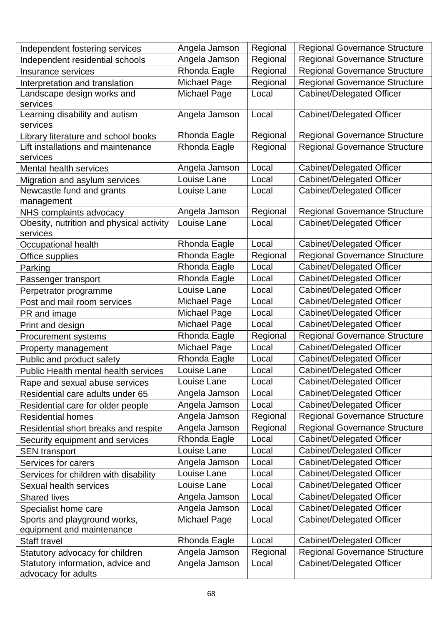| Independent fostering services                       | Angela Jamson       | Regional | <b>Regional Governance Structure</b> |
|------------------------------------------------------|---------------------|----------|--------------------------------------|
| Independent residential schools                      | Angela Jamson       | Regional | <b>Regional Governance Structure</b> |
| Insurance services                                   | Rhonda Eagle        | Regional | <b>Regional Governance Structure</b> |
| Interpretation and translation                       | <b>Michael Page</b> | Regional | <b>Regional Governance Structure</b> |
| Landscape design works and                           | <b>Michael Page</b> | Local    | <b>Cabinet/Delegated Officer</b>     |
| services                                             |                     |          |                                      |
| Learning disability and autism<br>services           | Angela Jamson       | Local    | Cabinet/Delegated Officer            |
| Library literature and school books                  | Rhonda Eagle        | Regional | <b>Regional Governance Structure</b> |
| Lift installations and maintenance                   | Rhonda Eagle        | Regional | <b>Regional Governance Structure</b> |
| services                                             |                     |          |                                      |
| Mental health services                               | Angela Jamson       | Local    | Cabinet/Delegated Officer            |
| Migration and asylum services                        | Louise Lane         | Local    | <b>Cabinet/Delegated Officer</b>     |
| Newcastle fund and grants<br>management              | Louise Lane         | Local    | <b>Cabinet/Delegated Officer</b>     |
| NHS complaints advocacy                              | Angela Jamson       | Regional | <b>Regional Governance Structure</b> |
| Obesity, nutrition and physical activity<br>services | Louise Lane         | Local    | <b>Cabinet/Delegated Officer</b>     |
| Occupational health                                  | Rhonda Eagle        | Local    | <b>Cabinet/Delegated Officer</b>     |
| Office supplies                                      | Rhonda Eagle        | Regional | <b>Regional Governance Structure</b> |
| Parking                                              | Rhonda Eagle        | Local    | <b>Cabinet/Delegated Officer</b>     |
| Passenger transport                                  | Rhonda Eagle        | Local    | Cabinet/Delegated Officer            |
| Perpetrator programme                                | Louise Lane         | Local    | <b>Cabinet/Delegated Officer</b>     |
| Post and mail room services                          | Michael Page        | Local    | <b>Cabinet/Delegated Officer</b>     |
| PR and image                                         | Michael Page        | Local    | Cabinet/Delegated Officer            |
| Print and design                                     | <b>Michael Page</b> | Local    | Cabinet/Delegated Officer            |
| <b>Procurement systems</b>                           | Rhonda Eagle        | Regional | <b>Regional Governance Structure</b> |
| Property management                                  | <b>Michael Page</b> | Local    | Cabinet/Delegated Officer            |
| Public and product safety                            | Rhonda Eagle        | Local    | Cabinet/Delegated Officer            |
| <b>Public Health mental health services</b>          | Louise Lane         | Local    | Cabinet/Delegated Officer            |
| Rape and sexual abuse services                       | Louise Lane         | Local    | Cabinet/Delegated Officer            |
| Residential care adults under 65                     | Angela Jamson       | Local    | Cabinet/Delegated Officer            |
| Residential care for older people                    | Angela Jamson       | Local    | Cabinet/Delegated Officer            |
| <b>Residential homes</b>                             | Angela Jamson       | Regional | <b>Regional Governance Structure</b> |
| Residential short breaks and respite                 | Angela Jamson       | Regional | <b>Regional Governance Structure</b> |
| Security equipment and services                      | Rhonda Eagle        | Local    | <b>Cabinet/Delegated Officer</b>     |
| <b>SEN transport</b>                                 | Louise Lane         | Local    | <b>Cabinet/Delegated Officer</b>     |
| Services for carers                                  | Angela Jamson       | Local    | Cabinet/Delegated Officer            |
| Services for children with disability                | Louise Lane         | Local    | Cabinet/Delegated Officer            |
| Sexual health services                               | Louise Lane         | Local    | <b>Cabinet/Delegated Officer</b>     |
| <b>Shared lives</b>                                  | Angela Jamson       | Local    | <b>Cabinet/Delegated Officer</b>     |
| Specialist home care                                 | Angela Jamson       | Local    | Cabinet/Delegated Officer            |
| Sports and playground works,                         | <b>Michael Page</b> | Local    | <b>Cabinet/Delegated Officer</b>     |
| equipment and maintenance                            |                     |          |                                      |
| Staff travel                                         | Rhonda Eagle        | Local    | Cabinet/Delegated Officer            |
| Statutory advocacy for children                      | Angela Jamson       | Regional | <b>Regional Governance Structure</b> |
| Statutory information, advice and                    | Angela Jamson       | Local    | Cabinet/Delegated Officer            |
| advocacy for adults                                  |                     |          |                                      |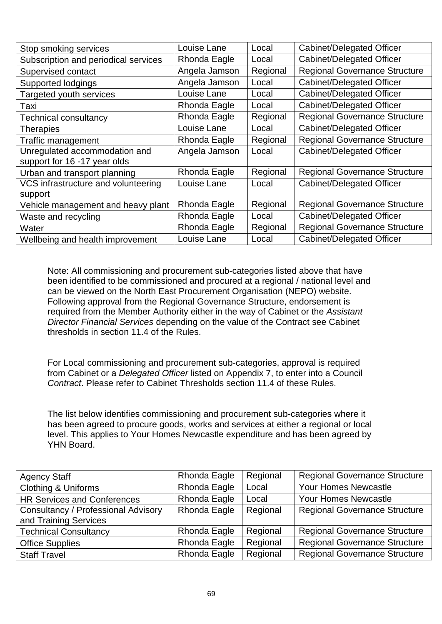| Stop smoking services                | Louise Lane   | Local    | <b>Cabinet/Delegated Officer</b>     |
|--------------------------------------|---------------|----------|--------------------------------------|
| Subscription and periodical services | Rhonda Eagle  | Local    | <b>Cabinet/Delegated Officer</b>     |
| Supervised contact                   | Angela Jamson | Regional | <b>Regional Governance Structure</b> |
| Supported lodgings                   | Angela Jamson | Local    | <b>Cabinet/Delegated Officer</b>     |
| Targeted youth services              | Louise Lane   | Local    | Cabinet/Delegated Officer            |
| Taxi                                 | Rhonda Eagle  | Local    | Cabinet/Delegated Officer            |
| <b>Technical consultancy</b>         | Rhonda Eagle  | Regional | <b>Regional Governance Structure</b> |
| <b>Therapies</b>                     | Louise Lane   | Local    | <b>Cabinet/Delegated Officer</b>     |
| Traffic management                   | Rhonda Eagle  | Regional | <b>Regional Governance Structure</b> |
| Unregulated accommodation and        | Angela Jamson | Local    | <b>Cabinet/Delegated Officer</b>     |
| support for 16 -17 year olds         |               |          |                                      |
| Urban and transport planning         | Rhonda Eagle  | Regional | <b>Regional Governance Structure</b> |
| VCS infrastructure and volunteering  | Louise Lane   | Local    | <b>Cabinet/Delegated Officer</b>     |
| support                              |               |          |                                      |
| Vehicle management and heavy plant   | Rhonda Eagle  | Regional | <b>Regional Governance Structure</b> |
| Waste and recycling                  | Rhonda Eagle  | Local    | <b>Cabinet/Delegated Officer</b>     |
| Water                                | Rhonda Eagle  | Regional | <b>Regional Governance Structure</b> |
| Wellbeing and health improvement     | Louise Lane   | Local    | Cabinet/Delegated Officer            |

Note: All commissioning and procurement sub-categories listed above that have been identified to be commissioned and procured at a regional / national level and can be viewed on the North East Procurement Organisation (NEPO) website. Following approval from the Regional Governance Structure, endorsement is required from the Member Authority either in the way of Cabinet or the *Assistant Director Financial Services* depending on the value of the Contract see Cabinet thresholds in section 11.4 of the Rules.

For Local commissioning and procurement sub-categories, approval is required from Cabinet or a *Delegated Officer* listed on Appendix 7, to enter into a Council *Contract*. Please refer to Cabinet Thresholds section 11.4 of these Rules.

The list below identifies commissioning and procurement sub-categories where it has been agreed to procure goods, works and services at either a regional or local level. This applies to Your Homes Newcastle expenditure and has been agreed by YHN Board.

| <b>Agency Staff</b>                        | Rhonda Eagle | Regional | <b>Regional Governance Structure</b> |
|--------------------------------------------|--------------|----------|--------------------------------------|
| <b>Clothing &amp; Uniforms</b>             | Rhonda Eagle | Local    | Your Homes Newcastle                 |
| <b>HR Services and Conferences</b>         | Rhonda Eagle | Local    | <b>Your Homes Newcastle</b>          |
| <b>Consultancy / Professional Advisory</b> | Rhonda Eagle | Regional | <b>Regional Governance Structure</b> |
| and Training Services                      |              |          |                                      |
| <b>Technical Consultancy</b>               | Rhonda Eagle | Regional | <b>Regional Governance Structure</b> |
| <b>Office Supplies</b>                     | Rhonda Eagle | Regional | <b>Regional Governance Structure</b> |
| <b>Staff Travel</b>                        | Rhonda Eagle | Regional | <b>Regional Governance Structure</b> |